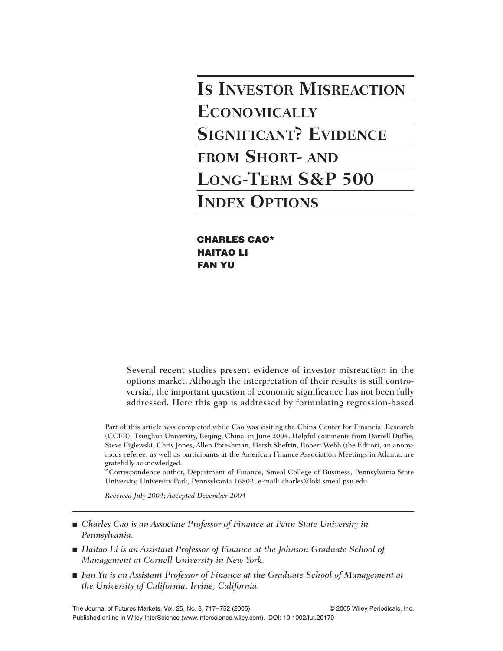# **IS INVESTOR MISREACTION ECONOMICALLY SIGNIFICANT? EVIDENCE FROM SHORT- AND LONG-TERM S&P 500 INDEX OPTIONS**

**CHARLES CAO\* HAITAO LI FAN YU**

Several recent studies present evidence of investor misreaction in the options market. Although the interpretation of their results is still controversial, the important question of economic significance has not been fully addressed. Here this gap is addressed by formulating regression-based

Part of this article was completed while Cao was visiting the China Center for Financial Research (CCFR), Tsinghua University, Beijing, China, in June 2004. Helpful comments from Darrell Duffie, Steve Figlewski, Chris Jones, Allen Poteshman, Hersh Shefrin, Robert Webb (the Editor), an anonymous referee, as well as participants at the American Finance Association Meetings in Atlanta, are gratefully acknowledged.

\*Correspondence author, Department of Finance, Smeal College of Business, Pennsylvania State University, University Park, Pennsylvania 16802; e-mail: charles@loki.smeal.psu.edu

*Received July 2004; Accepted December 2004*

- *Charles Cao is an Associate Professor of Finance at Penn State University in Pennsylvania.*
- *Haitao Li is an Assistant Professor of Finance at the Johnson Graduate School of Management at Cornell University in New York.*
- *Fan Yu is an Assistant Professor of Finance at the Graduate School of Management at the University of California, Irvine, California.*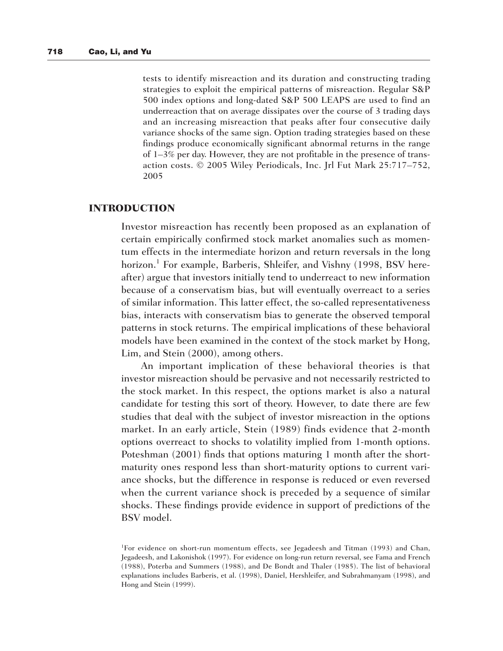tests to identify misreaction and its duration and constructing trading strategies to exploit the empirical patterns of misreaction. Regular S&P 500 index options and long-dated S&P 500 LEAPS are used to find an underreaction that on average dissipates over the course of 3 trading days and an increasing misreaction that peaks after four consecutive daily variance shocks of the same sign. Option trading strategies based on these findings produce economically significant abnormal returns in the range of 1–3% per day. However, they are not profitable in the presence of transaction costs. © 2005 Wiley Periodicals, Inc. Jrl Fut Mark 25:717–752, 2005

## **INTRODUCTION**

Investor misreaction has recently been proposed as an explanation of certain empirically confirmed stock market anomalies such as momentum effects in the intermediate horizon and return reversals in the long horizon.<sup>1</sup> For example, Barberis, Shleifer, and Vishny (1998, BSV hereafter) argue that investors initially tend to underreact to new information because of a conservatism bias, but will eventually overreact to a series of similar information. This latter effect, the so-called representativeness bias, interacts with conservatism bias to generate the observed temporal patterns in stock returns. The empirical implications of these behavioral models have been examined in the context of the stock market by Hong, Lim, and Stein (2000), among others.

An important implication of these behavioral theories is that investor misreaction should be pervasive and not necessarily restricted to the stock market. In this respect, the options market is also a natural candidate for testing this sort of theory. However, to date there are few studies that deal with the subject of investor misreaction in the options market. In an early article, Stein (1989) finds evidence that 2-month options overreact to shocks to volatility implied from 1-month options. Poteshman (2001) finds that options maturing 1 month after the shortmaturity ones respond less than short-maturity options to current variance shocks, but the difference in response is reduced or even reversed when the current variance shock is preceded by a sequence of similar shocks. These findings provide evidence in support of predictions of the BSV model.

<sup>1</sup> For evidence on short-run momentum effects, see Jegadeesh and Titman (1993) and Chan, Jegadeesh, and Lakonishok (1997). For evidence on long-run return reversal, see Fama and French (1988), Poterba and Summers (1988), and De Bondt and Thaler (1985). The list of behavioral explanations includes Barberis, et al. (1998), Daniel, Hershleifer, and Subrahmanyam (1998), and Hong and Stein (1999).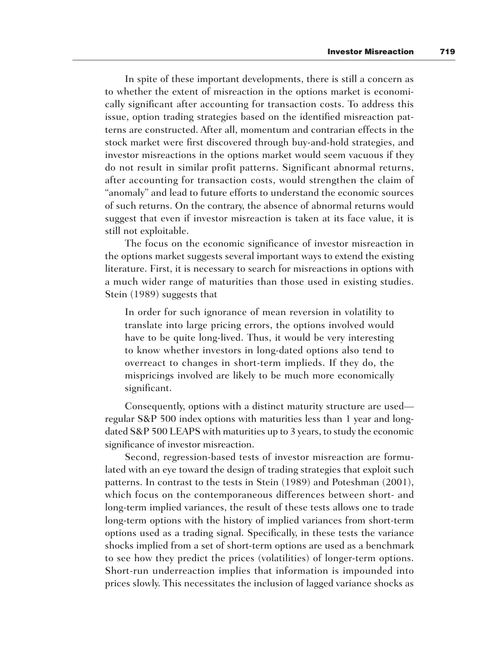In spite of these important developments, there is still a concern as to whether the extent of misreaction in the options market is economically significant after accounting for transaction costs. To address this issue, option trading strategies based on the identified misreaction patterns are constructed. After all, momentum and contrarian effects in the stock market were first discovered through buy-and-hold strategies, and investor misreactions in the options market would seem vacuous if they do not result in similar profit patterns. Significant abnormal returns, after accounting for transaction costs, would strengthen the claim of "anomaly" and lead to future efforts to understand the economic sources of such returns. On the contrary, the absence of abnormal returns would suggest that even if investor misreaction is taken at its face value, it is still not exploitable.

The focus on the economic significance of investor misreaction in the options market suggests several important ways to extend the existing literature. First, it is necessary to search for misreactions in options with a much wider range of maturities than those used in existing studies. Stein (1989) suggests that

In order for such ignorance of mean reversion in volatility to translate into large pricing errors, the options involved would have to be quite long-lived. Thus, it would be very interesting to know whether investors in long-dated options also tend to overreact to changes in short-term implieds. If they do, the mispricings involved are likely to be much more economically significant.

Consequently, options with a distinct maturity structure are used regular S&P 500 index options with maturities less than 1 year and longdated S&P 500 LEAPS with maturities up to 3 years, to study the economic significance of investor misreaction.

Second, regression-based tests of investor misreaction are formulated with an eye toward the design of trading strategies that exploit such patterns. In contrast to the tests in Stein (1989) and Poteshman (2001), which focus on the contemporaneous differences between short- and long-term implied variances, the result of these tests allows one to trade long-term options with the history of implied variances from short-term options used as a trading signal. Specifically, in these tests the variance shocks implied from a set of short-term options are used as a benchmark to see how they predict the prices (volatilities) of longer-term options. Short-run underreaction implies that information is impounded into prices slowly. This necessitates the inclusion of lagged variance shocks as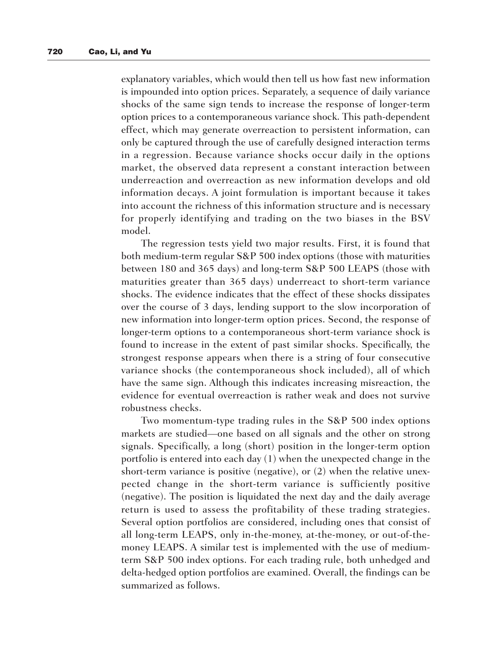explanatory variables, which would then tell us how fast new information is impounded into option prices. Separately, a sequence of daily variance shocks of the same sign tends to increase the response of longer-term option prices to a contemporaneous variance shock. This path-dependent effect, which may generate overreaction to persistent information, can only be captured through the use of carefully designed interaction terms in a regression. Because variance shocks occur daily in the options market, the observed data represent a constant interaction between underreaction and overreaction as new information develops and old information decays. A joint formulation is important because it takes into account the richness of this information structure and is necessary for properly identifying and trading on the two biases in the BSV model.

The regression tests yield two major results. First, it is found that both medium-term regular S&P 500 index options (those with maturities between 180 and 365 days) and long-term S&P 500 LEAPS (those with maturities greater than 365 days) underreact to short-term variance shocks. The evidence indicates that the effect of these shocks dissipates over the course of 3 days, lending support to the slow incorporation of new information into longer-term option prices. Second, the response of longer-term options to a contemporaneous short-term variance shock is found to increase in the extent of past similar shocks. Specifically, the strongest response appears when there is a string of four consecutive variance shocks (the contemporaneous shock included), all of which have the same sign. Although this indicates increasing misreaction, the evidence for eventual overreaction is rather weak and does not survive robustness checks.

Two momentum-type trading rules in the S&P 500 index options markets are studied—one based on all signals and the other on strong signals. Specifically, a long (short) position in the longer-term option portfolio is entered into each day (1) when the unexpected change in the short-term variance is positive (negative), or (2) when the relative unexpected change in the short-term variance is sufficiently positive (negative). The position is liquidated the next day and the daily average return is used to assess the profitability of these trading strategies. Several option portfolios are considered, including ones that consist of all long-term LEAPS, only in-the-money, at-the-money, or out-of-themoney LEAPS. A similar test is implemented with the use of mediumterm S&P 500 index options. For each trading rule, both unhedged and delta-hedged option portfolios are examined. Overall, the findings can be summarized as follows.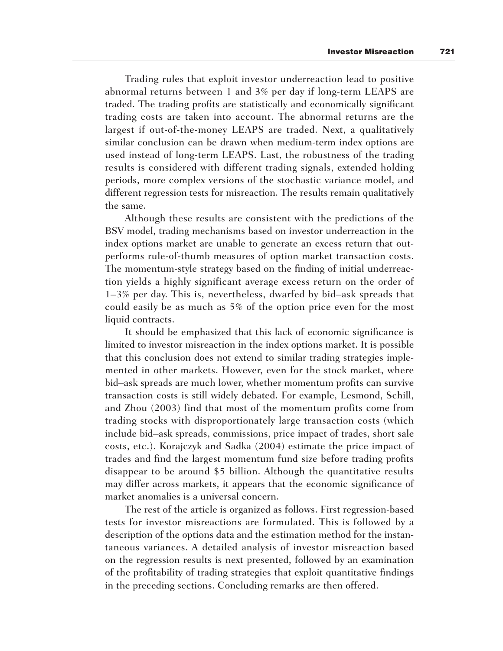Trading rules that exploit investor underreaction lead to positive abnormal returns between 1 and 3% per day if long-term LEAPS are traded. The trading profits are statistically and economically significant trading costs are taken into account. The abnormal returns are the largest if out-of-the-money LEAPS are traded. Next, a qualitatively similar conclusion can be drawn when medium-term index options are used instead of long-term LEAPS. Last, the robustness of the trading results is considered with different trading signals, extended holding periods, more complex versions of the stochastic variance model, and different regression tests for misreaction. The results remain qualitatively the same.

Although these results are consistent with the predictions of the BSV model, trading mechanisms based on investor underreaction in the index options market are unable to generate an excess return that outperforms rule-of-thumb measures of option market transaction costs. The momentum-style strategy based on the finding of initial underreaction yields a highly significant average excess return on the order of 1–3% per day. This is, nevertheless, dwarfed by bid–ask spreads that could easily be as much as 5% of the option price even for the most liquid contracts.

It should be emphasized that this lack of economic significance is limited to investor misreaction in the index options market. It is possible that this conclusion does not extend to similar trading strategies implemented in other markets. However, even for the stock market, where bid–ask spreads are much lower, whether momentum profits can survive transaction costs is still widely debated. For example, Lesmond, Schill, and Zhou (2003) find that most of the momentum profits come from trading stocks with disproportionately large transaction costs (which include bid–ask spreads, commissions, price impact of trades, short sale costs, etc.). Korajczyk and Sadka (2004) estimate the price impact of trades and find the largest momentum fund size before trading profits disappear to be around \$5 billion. Although the quantitative results may differ across markets, it appears that the economic significance of market anomalies is a universal concern.

The rest of the article is organized as follows. First regression-based tests for investor misreactions are formulated. This is followed by a description of the options data and the estimation method for the instantaneous variances. A detailed analysis of investor misreaction based on the regression results is next presented, followed by an examination of the profitability of trading strategies that exploit quantitative findings in the preceding sections. Concluding remarks are then offered.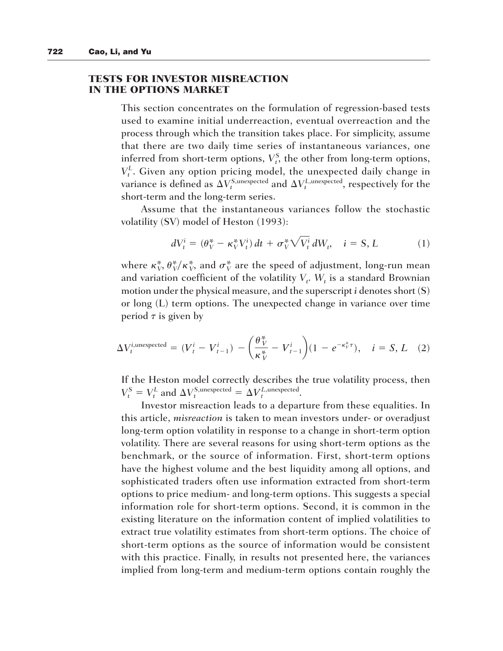# **TESTS FOR INVESTOR MISREACTION IN THE OPTIONS MARKET**

This section concentrates on the formulation of regression-based tests used to examine initial underreaction, eventual overreaction and the process through which the transition takes place. For simplicity, assume that there are two daily time series of instantaneous variances, one inferred from short-term options,  $V_t^S$ , the other from long-term options,  $V_t^L$ . Given any option pricing model, the unexpected daily change in variance is defined as  $\Delta V_t^{\rm S,unexpected}$  and  $\Delta V_t^{\rm L,unexpected},$  respectively for the short-term and the long-term series.

Assume that the instantaneous variances follow the stochastic volatility (SV) model of Heston (1993):

$$
dV_t^i = (\theta_V^* - \kappa_V^* V_t^i) dt + \sigma_V^* \sqrt{V_t^i} dW_t, \quad i = S, L
$$
 (1)

where  $\kappa^*_V$ ,  $\theta^*_V/\kappa^*_V$ , and  $\sigma^*_V$  are the speed of adjustment, long-run mean and variation coefficient of the volatility  $V_t$ .  $W_t$  is a standard Brownian motion under the physical measure, and the superscript *i* denotes short (S) or long (L) term options. The unexpected change in variance over time period  $\tau$  is given by

$$
\Delta V_t^{i,\text{unexpected}} = (V_t^i - V_{t-1}^i) - \left(\frac{\theta_V^*}{\kappa_V^*} - V_{t-1}^i\right)(1 - e^{-\kappa_V^* \tau}), \quad i = S, L \quad (2)
$$

If the Heston model correctly describes the true volatility process, then  $V_t^S = V_t^L$  and  $\Delta V_t^{S, \text{unexpected}} = \Delta V_t^{L, \text{unexpected}}$ .

Investor misreaction leads to a departure from these equalities. In this article, *misreaction* is taken to mean investors under- or overadjust long-term option volatility in response to a change in short-term option volatility. There are several reasons for using short-term options as the benchmark, or the source of information. First, short-term options have the highest volume and the best liquidity among all options, and sophisticated traders often use information extracted from short-term options to price medium- and long-term options. This suggests a special information role for short-term options. Second, it is common in the existing literature on the information content of implied volatilities to extract true volatility estimates from short-term options. The choice of short-term options as the source of information would be consistent with this practice. Finally, in results not presented here, the variances implied from long-term and medium-term options contain roughly the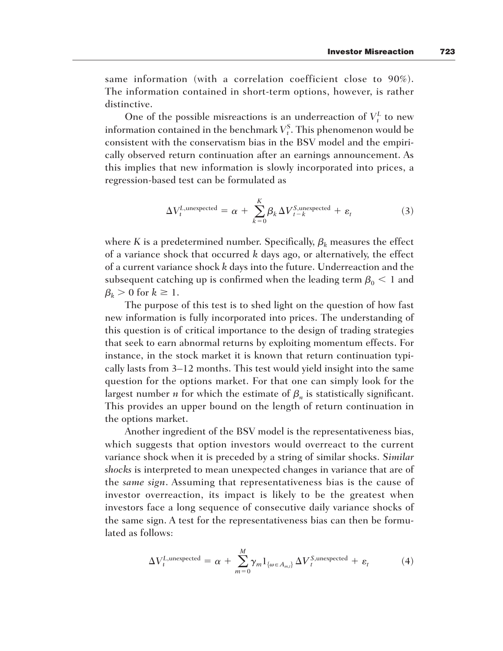same information (with a correlation coefficient close to 90%). The information contained in short-term options, however, is rather distinctive.

One of the possible misreactions is an underreaction of  $V_t^L$  to new information contained in the benchmark  $V_t^S$ . This phenomenon would be consistent with the conservatism bias in the BSV model and the empirically observed return continuation after an earnings announcement. As this implies that new information is slowly incorporated into prices, a regression-based test can be formulated as

$$
\Delta V_t^{L,\text{unexpected}} = \alpha + \sum_{k=0}^{K} \beta_k \Delta V_{t-k}^{S,\text{unexpected}} + \varepsilon_t \tag{3}
$$

where  $K$  is a predetermined number. Specifically,  $\beta_k$  measures the effect of a variance shock that occurred *k* days ago, or alternatively, the effect of a current variance shock *k* days into the future. Underreaction and the subsequent catching up is confirmed when the leading term  $\beta_0 < 1$  and  $\beta_k > 0$  for  $k \geq 1$ .

The purpose of this test is to shed light on the question of how fast new information is fully incorporated into prices. The understanding of this question is of critical importance to the design of trading strategies that seek to earn abnormal returns by exploiting momentum effects. For instance, in the stock market it is known that return continuation typically lasts from 3–12 months. This test would yield insight into the same question for the options market. For that one can simply look for the largest number *n* for which the estimate of  $\beta_n$  is statistically significant. This provides an upper bound on the length of return continuation in the options market.

Another ingredient of the BSV model is the representativeness bias, which suggests that option investors would overreact to the current variance shock when it is preceded by a string of similar shocks. *Similar shocks* is interpreted to mean unexpected changes in variance that are of the *same sign*. Assuming that representativeness bias is the cause of investor overreaction, its impact is likely to be the greatest when investors face a long sequence of consecutive daily variance shocks of the same sign. A test for the representativeness bias can then be formulated as follows:

$$
\Delta V_t^{L,\text{unexpected}} = \alpha + \sum_{m=0}^{M} \gamma_m 1_{\{\omega \in A_{m,l}\}} \Delta V_t^{S,\text{unexpected}} + \varepsilon_t \tag{4}
$$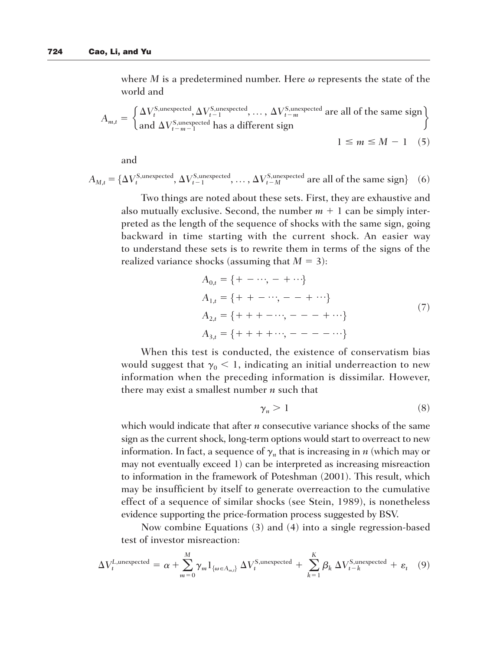where  $M$  is a predetermined number. Here  $\omega$  represents the state of the world and

$$
A_{m,t} = \begin{cases} \Delta V_t^{S,\text{unexpected}}, \Delta V_{t-1}^{S,\text{unexpected}}, \dots, \Delta V_{t-m}^{S,\text{unexpected}} \text{ are all of the same sign} \\ \text{and } \Delta V_{t-m-1}^{S,\text{unexpected}} \text{ has a different sign} \end{cases}
$$
  
and  

$$
1 \le m \le M - 1 \quad (5)
$$

(6)  $A_{M,t} = \{\Delta V_t^{S,\text{unexpected}},\Delta V_{t-1}^{S,\text{unexpected}},\dots,\Delta V_{t-M}^{S,\text{unexpected}} \text{ are all of the same sign}\}$ 

Two things are noted about these sets. First, they are exhaustive and also mutually exclusive. Second, the number  $m + 1$  can be simply interpreted as the length of the sequence of shocks with the same sign, going backward in time starting with the current shock. An easier way to understand these sets is to rewrite them in terms of the signs of the realized variance shocks (assuming that  $M = 3$ ):

$$
A_{0,t} = \{ + - \cdots, - + \cdots \}
$$
  
\n
$$
A_{1,t} = \{ + + - \cdots, - - + \cdots \}
$$
  
\n
$$
A_{2,t} = \{ + + + - \cdots, - - - + \cdots \}
$$
  
\n
$$
A_{3,t} = \{ + + + + \cdots, - - - - \cdots \}
$$
\n(7)

When this test is conducted, the existence of conservatism bias would suggest that  $\gamma_0 < 1,$  indicating an initial underreaction to new information when the preceding information is dissimilar. However, there may exist a smallest number *n* such that

$$
\gamma_n > 1 \tag{8}
$$

which would indicate that after *n* consecutive variance shocks of the same sign as the current shock, long-term options would start to overreact to new information. In fact, a sequence of  $\gamma_n$  that is increasing in  $n$  (which may or may not eventually exceed 1) can be interpreted as increasing misreaction to information in the framework of Poteshman (2001). This result, which may be insufficient by itself to generate overreaction to the cumulative effect of a sequence of similar shocks (see Stein, 1989), is nonetheless evidence supporting the price-formation process suggested by BSV.

Now combine Equations (3) and (4) into a single regression-based test of investor misreaction:

$$
\Delta V_t^{L,\text{unexpected}} = \alpha + \sum_{m=0}^{M} \gamma_m 1_{\{\omega \in A_{m,l}\}} \Delta V_t^{S,\text{unexpected}} + \sum_{k=1}^{K} \beta_k \Delta V_{t-k}^{S,\text{unexpected}} + \varepsilon_t \quad (9)
$$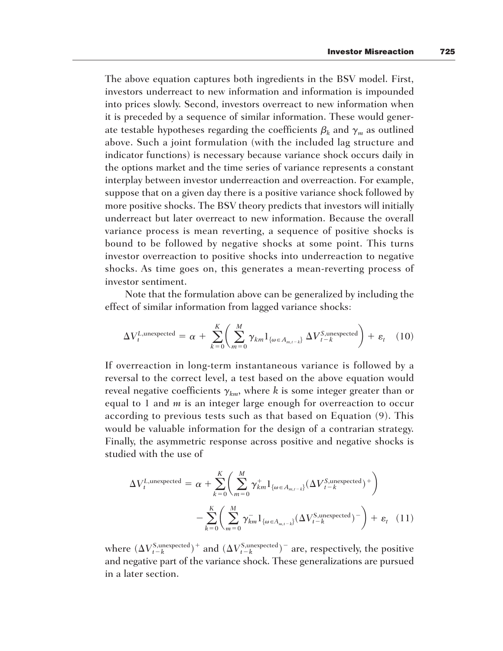The above equation captures both ingredients in the BSV model. First, investors underreact to new information and information is impounded into prices slowly. Second, investors overreact to new information when it is preceded by a sequence of similar information. These would generate testable hypotheses regarding the coefficients  $\beta_k$  and  $\gamma_m$  as outlined above. Such a joint formulation (with the included lag structure and indicator functions) is necessary because variance shock occurs daily in the options market and the time series of variance represents a constant interplay between investor underreaction and overreaction. For example, suppose that on a given day there is a positive variance shock followed by more positive shocks. The BSV theory predicts that investors will initially underreact but later overreact to new information. Because the overall variance process is mean reverting, a sequence of positive shocks is bound to be followed by negative shocks at some point. This turns investor overreaction to positive shocks into underreaction to negative shocks. As time goes on, this generates a mean-reverting process of investor sentiment.

Note that the formulation above can be generalized by including the effect of similar information from lagged variance shocks:

$$
\Delta V_t^{L,\text{unexpected}} = \alpha + \sum_{k=0}^K \left( \sum_{m=0}^M \gamma_{km} 1_{\{\omega \in A_{m,t-k}\}} \Delta V_{t-k}^{S,\text{unexpected}} \right) + \varepsilon_t \quad (10)
$$

If overreaction in long-term instantaneous variance is followed by a reversal to the correct level, a test based on the above equation would reveal negative coefficients  $\gamma_{km}$ , where  $k$  is some integer greater than or equal to 1 and *m* is an integer large enough for overreaction to occur according to previous tests such as that based on Equation (9). This would be valuable information for the design of a contrarian strategy. Finally, the asymmetric response across positive and negative shocks is studied with the use of

$$
\Delta V_t^{L,\text{unexpected}} = \alpha + \sum_{k=0}^K \left( \sum_{m=0}^M \gamma_{km}^+ 1_{\{\omega \in A_{m,t-k}\}} (\Delta V_{t-k}^{S,\text{unexpected}})^+ \right) - \sum_{k=0}^K \left( \sum_{m=0}^M \gamma_{km}^- 1_{\{\omega \in A_{m,t-k}\}} (\Delta V_{t-k}^{S,\text{unexpected}})^- \right) + \varepsilon_t \quad (11)
$$

where  $(\Delta V_{t-k}^{S, \mathrm{unexpected}})^+$  and  $(\Delta V_{t-k}^{S, \mathrm{unexpected}})^-$  are, respectively, the positive and negative part of the variance shock. These generalizations are pursued in a later section.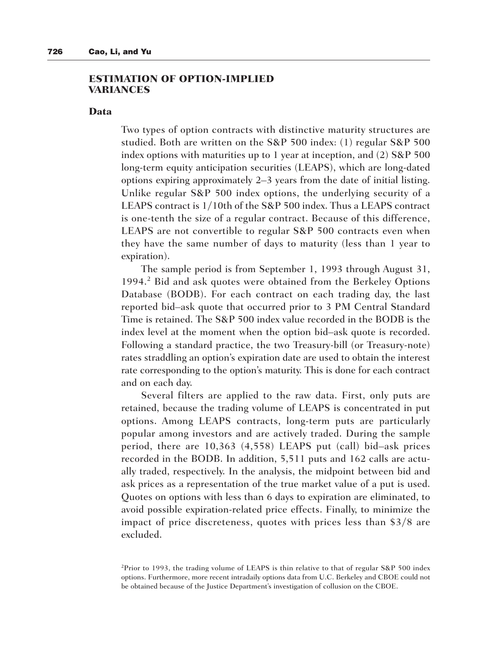# **ESTIMATION OF OPTION-IMPLIED VARIANCES**

#### **Data**

Two types of option contracts with distinctive maturity structures are studied. Both are written on the S&P 500 index: (1) regular S&P 500 index options with maturities up to 1 year at inception, and (2) S&P 500 long-term equity anticipation securities (LEAPS), which are long-dated options expiring approximately 2–3 years from the date of initial listing. Unlike regular S&P 500 index options, the underlying security of a LEAPS contract is  $1/10$ th of the S&P 500 index. Thus a LEAPS contract is one-tenth the size of a regular contract. Because of this difference, LEAPS are not convertible to regular S&P 500 contracts even when they have the same number of days to maturity (less than 1 year to expiration).

The sample period is from September 1, 1993 through August 31, 1994.<sup>2</sup> Bid and ask quotes were obtained from the Berkeley Options Database (BODB). For each contract on each trading day, the last reported bid–ask quote that occurred prior to 3 PM Central Standard Time is retained. The S&P 500 index value recorded in the BODB is the index level at the moment when the option bid–ask quote is recorded. Following a standard practice, the two Treasury-bill (or Treasury-note) rates straddling an option's expiration date are used to obtain the interest rate corresponding to the option's maturity. This is done for each contract and on each day.

Several filters are applied to the raw data. First, only puts are retained, because the trading volume of LEAPS is concentrated in put options. Among LEAPS contracts, long-term puts are particularly popular among investors and are actively traded. During the sample period, there are 10,363 (4,558) LEAPS put (call) bid–ask prices recorded in the BODB. In addition, 5,511 puts and 162 calls are actually traded, respectively. In the analysis, the midpoint between bid and ask prices as a representation of the true market value of a put is used. Quotes on options with less than 6 days to expiration are eliminated, to avoid possible expiration-related price effects. Finally, to minimize the impact of price discreteness, quotes with prices less than  $$3/8$  are excluded.

<sup>&</sup>lt;sup>2</sup>Prior to 1993, the trading volume of LEAPS is thin relative to that of regular S&P 500 index options. Furthermore, more recent intradaily options data from U.C. Berkeley and CBOE could not be obtained because of the Justice Department's investigation of collusion on the CBOE.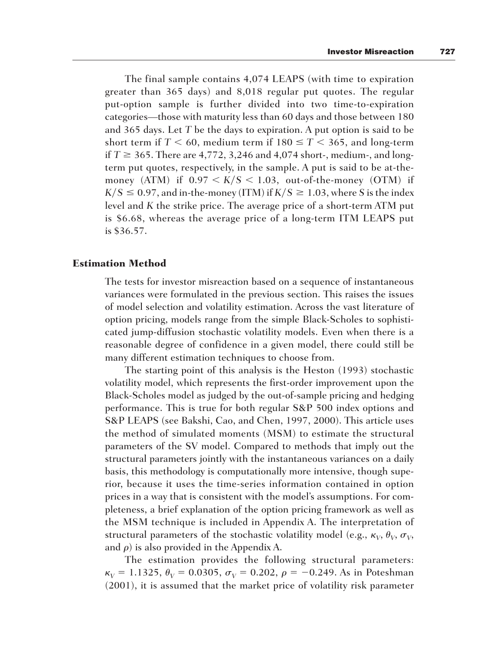The final sample contains 4,074 LEAPS (with time to expiration greater than 365 days) and 8,018 regular put quotes. The regular put-option sample is further divided into two time-to-expiration categories—those with maturity less than 60 days and those between 180 and 365 days. Let *T* be the days to expiration. A put option is said to be short term if  $T < 60$ , medium term if  $180 \le T < 365$ , and long-term if  $T \geq 365$ . There are 4,772, 3,246 and 4,074 short-, medium-, and longterm put quotes, respectively, in the sample. A put is said to be at-themoney (ATM) if  $0.97 \leq K/S \leq 1.03$ , out-of-the-money (OTM) if  $K/S \leq 0.97$ , and in-the-money (ITM) if  $K/S \geq 1.03$ , where *S* is the index level and *K* the strike price. The average price of a short-term ATM put is \$6.68, whereas the average price of a long-term ITM LEAPS put is \$36.57.

## **Estimation Method**

The tests for investor misreaction based on a sequence of instantaneous variances were formulated in the previous section. This raises the issues of model selection and volatility estimation. Across the vast literature of option pricing, models range from the simple Black-Scholes to sophisticated jump-diffusion stochastic volatility models. Even when there is a reasonable degree of confidence in a given model, there could still be many different estimation techniques to choose from.

The starting point of this analysis is the Heston (1993) stochastic volatility model, which represents the first-order improvement upon the Black-Scholes model as judged by the out-of-sample pricing and hedging performance. This is true for both regular S&P 500 index options and S&P LEAPS (see Bakshi, Cao, and Chen, 1997, 2000). This article uses the method of simulated moments (MSM) to estimate the structural parameters of the SV model. Compared to methods that imply out the structural parameters jointly with the instantaneous variances on a daily basis, this methodology is computationally more intensive, though superior, because it uses the time-series information contained in option prices in a way that is consistent with the model's assumptions. For completeness, a brief explanation of the option pricing framework as well as the MSM technique is included in Appendix A. The interpretation of structural parameters of the stochastic volatility model (e.g.,  $\kappa_{\rm\scriptscriptstyle V},\,\theta_{\rm\scriptscriptstyle V},\,\sigma_{\rm\scriptscriptstyle V},$ and  $\rho$ ) is also provided in the Appendix A.

The estimation provides the following structural parameters:  $\kappa_V = 1.1325, \ \theta_V = 0.0305, \ \sigma_V = 0.202, \ \rho = -0.249$ . As in Poteshman (2001), it is assumed that the market price of volatility risk parameter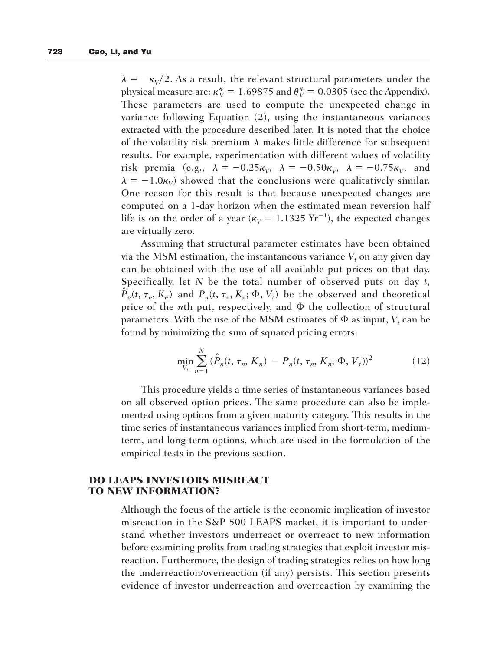$\lambda = -\kappa_V/2$ . As a result, the relevant structural parameters under the physical measure are:  $\kappa_V^* = 1.69875$  and  $\theta_V^* = 0.0305$  (see the Appendix). These parameters are used to compute the unexpected change in variance following Equation (2), using the instantaneous variances extracted with the procedure described later. It is noted that the choice of the volatility risk premium  $\lambda$  makes little difference for subsequent results. For example, experimentation with different values of volatility risk premia (e.g.,  $\lambda = -0.25\kappa_V$ ,  $\lambda = -0.50\kappa_V$ ,  $\lambda = -0.75\kappa_V$ , and  $\lambda = -1.0 \kappa_V$ ) showed that the conclusions were qualitatively similar. One reason for this result is that because unexpected changes are computed on a 1-day horizon when the estimated mean reversion half life is on the order of a year ( $\kappa_V = 1.1325 \text{ Yr}^{-1}$ ), the expected changes are virtually zero.

Assuming that structural parameter estimates have been obtained via the MSM estimation, the instantaneous variance  $V_t$  on any given day can be obtained with the use of all available put prices on that day. Specifically, let *N* be the total number of observed puts on day *t,*  $\hat{P}_n(t, \tau_n, K_n)$  and  $P_n(t, \tau_n, K_n; \Phi, V_t)$  be the observed and theoretical price of the  $n$ th put, respectively, and  $\Phi$  the collection of structural parameters. With the use of the MSM estimates of  $\Phi$  as input,  $V_t$  can be found by minimizing the sum of squared pricing errors:

$$
\min_{V_t} \sum_{n=1}^{N} (\hat{P}_n(t, \tau_n, K_n) - P_n(t, \tau_n, K_n; \Phi, V_t))^2
$$
 (12)

This procedure yields a time series of instantaneous variances based on all observed option prices. The same procedure can also be implemented using options from a given maturity category. This results in the time series of instantaneous variances implied from short-term, mediumterm, and long-term options, which are used in the formulation of the empirical tests in the previous section.

### **DO LEAPS INVESTORS MISREACT TO NEW INFORMATION?**

Although the focus of the article is the economic implication of investor misreaction in the S&P 500 LEAPS market, it is important to understand whether investors underreact or overreact to new information before examining profits from trading strategies that exploit investor misreaction. Furthermore, the design of trading strategies relies on how long the underreaction/overreaction (if any) persists. This section presents evidence of investor underreaction and overreaction by examining the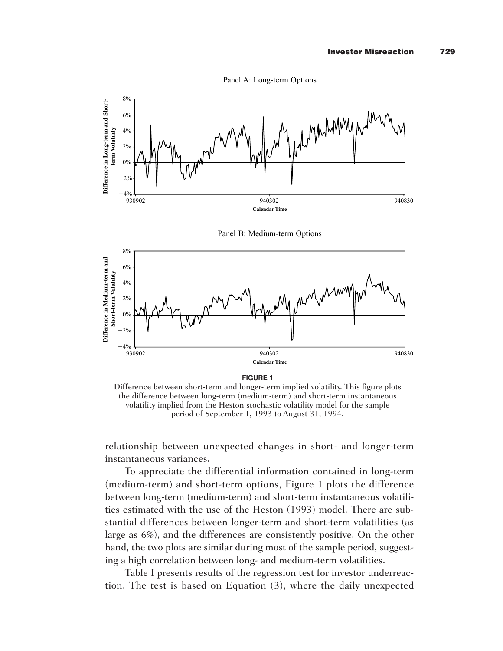







**FIGURE 1**

Difference between short-term and longer-term implied volatility. This figure plots the difference between long-term (medium-term) and short-term instantaneous volatility implied from the Heston stochastic volatility model for the sample period of September 1, 1993 to August 31, 1994.

relationship between unexpected changes in short- and longer-term instantaneous variances.

To appreciate the differential information contained in long-term (medium-term) and short-term options, Figure 1 plots the difference between long-term (medium-term) and short-term instantaneous volatilities estimated with the use of the Heston (1993) model. There are substantial differences between longer-term and short-term volatilities (as large as 6%), and the differences are consistently positive. On the other hand, the two plots are similar during most of the sample period, suggesting a high correlation between long- and medium-term volatilities.

Table I presents results of the regression test for investor underreaction. The test is based on Equation (3), where the daily unexpected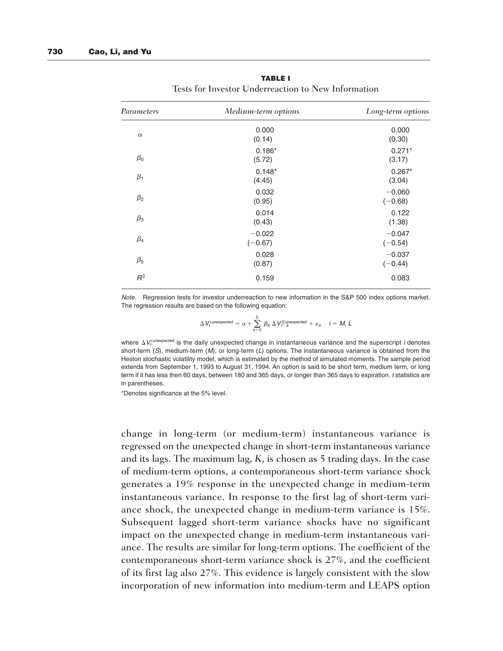| Parameters | Medium-term options   | Long-term options     |  |  |
|------------|-----------------------|-----------------------|--|--|
| $\alpha$   | 0.000<br>(0.14)       | 0.000<br>(0.30)       |  |  |
| $\beta_0$  | $0.186*$<br>(5.72)    | $0.271*$<br>(3.17)    |  |  |
| $\beta_1$  | $0.148*$<br>(4.45)    | $0.267*$<br>(3.04)    |  |  |
| $\beta_2$  | 0.032<br>(0.95)       | $-0.060$<br>$(-0.68)$ |  |  |
| $\beta_3$  | 0.014<br>(0.43)       | 0.122<br>(1.38)       |  |  |
| $\beta_4$  | $-0.022$<br>$(-0.67)$ | $-0.047$<br>$(-0.54)$ |  |  |
| $\beta_5$  | 0.028<br>(0.87)       | $-0.037$<br>$(-0.44)$ |  |  |
| $R^2$      | 0.159                 | 0.083                 |  |  |

| <b>TABLE I</b> |                                                            |
|----------------|------------------------------------------------------------|
|                | <b>Tests for Investor Underreaction to New Information</b> |

Note. Regression tests for investor underreaction to new information in the S&P 500 index options market. The regression results are based on the following equation:

$$
\Delta V_t^{\text{i,unexpected}} = \alpha + \sum_{k=0}^{5} \beta_k \, \Delta V_{t-k}^{\text{S,unexpected}} + \varepsilon_t, \quad i = M, L
$$

where  $\Delta V_t^{i,\text{unexpected}}$  is the daily unexpected change in instantaneous variance and the superscript *i* denotes short-term (S), medium-term (M), or long-term (L) options. The instantaneous variance is obtained from the Heston stochastic volatility model, which is estimated by the method of simulated moments. The sample period extends from September 1, 1993 to August 31, 1994. An option is said to be short term, medium term, or long term if it has less then 60 days, between 180 and 365 days, or longer than 365 days to expiration. t statistics are in parentheses.

\*Denotes significance at the 5% level.

change in long-term (or medium-term) instantaneous variance is regressed on the unexpected change in short-term instantaneous variance and its lags. The maximum lag, *K*, is chosen as 5 trading days. In the case of medium-term options, a contemporaneous short-term variance shock generates a 19% response in the unexpected change in medium-term instantaneous variance. In response to the first lag of short-term variance shock, the unexpected change in medium-term variance is 15%. Subsequent lagged short-term variance shocks have no significant impact on the unexpected change in medium-term instantaneous variance. The results are similar for long-term options. The coefficient of the contemporaneous short-term variance shock is 27%, and the coefficient of its first lag also 27%. This evidence is largely consistent with the slow incorporation of new information into medium-term and LEAPS option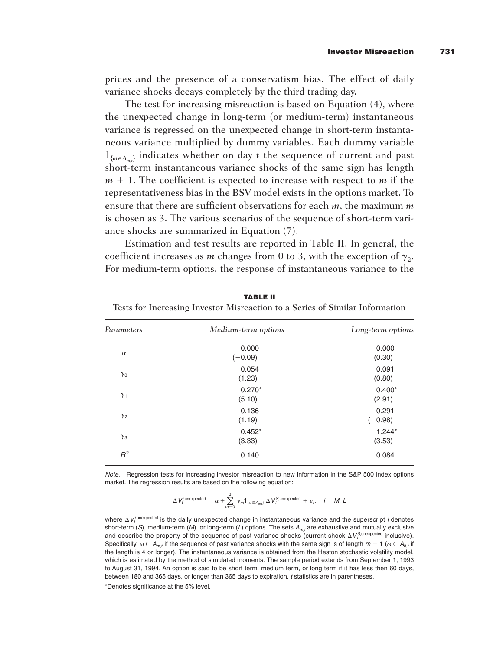prices and the presence of a conservatism bias. The effect of daily variance shocks decays completely by the third trading day.

The test for increasing misreaction is based on Equation (4), where the unexpected change in long-term (or medium-term) instantaneous variance is regressed on the unexpected change in short-term instantaneous variance multiplied by dummy variables. Each dummy variable  $1_{\{\omega \in A_{m,t}\}}$  indicates whether on day *t* the sequence of current and past short-term instantaneous variance shocks of the same sign has length  $m + 1$ . The coefficient is expected to increase with respect to  $m$  if the representativeness bias in the BSV model exists in the options market. To ensure that there are sufficient observations for each *m*, the maximum *m* is chosen as 3. The various scenarios of the sequence of short-term variance shocks are summarized in Equation (7).

Estimation and test results are reported in Table II. In general, the coefficient increases as *m* changes from 0 to 3, with the exception of  $\gamma_2$ . For medium-term options, the response of instantaneous variance to the

| Parameters | Medium-term options | Long-term options     |  |  |
|------------|---------------------|-----------------------|--|--|
| $\alpha$   | 0.000<br>$(-0.09)$  | 0.000<br>(0.30)       |  |  |
| $\gamma_0$ | 0.054<br>(1.23)     | 0.091<br>(0.80)       |  |  |
| $\gamma_1$ | $0.270*$<br>(5.10)  | $0.400*$<br>(2.91)    |  |  |
| $\gamma_2$ | 0.136<br>(1.19)     | $-0.291$<br>$(-0.98)$ |  |  |
| $\gamma_3$ | $0.452*$<br>(3.33)  | $1.244*$<br>(3.53)    |  |  |
| $R^2$      | 0.140               | 0.084                 |  |  |

**TABLE II** Tests for Increasing Investor Misreaction to a Series of Similar Information

Note. Regression tests for increasing investor misreaction to new information in the S&P 500 index options market. The regression results are based on the following equation:

$$
\Delta V_t^{i,\text{unexpected}} = \alpha + \sum_{m=0}^{3} \gamma_m \mathbf{1}_{\{\omega \in A_{m,t}\}} \Delta V_t^{S,\text{unexpected}} + \varepsilon_t, \quad i = M, L
$$

where  $\Delta V_t^{\text{iunexpected}}$  is the daily unexpected change in instantaneous variance and the superscript i denotes short-term (S), medium-term (M), or long-term (L) options. The sets  $A_{m,t}$  are exhaustive and mutually exclusive and describe the property of the sequence of past variance shocks (current shock  $\Delta V_t^{\text{S},\text{unexpected}}$  inclusive). Specifically,  $\omega \in A_{m,t}$  if the sequence of past variance shocks with the same sign is of length  $m+1$  ( $\omega \in A_{3,t}$  if the length is 4 or longer). The instantaneous variance is obtained from the Heston stochastic volatility model, which is estimated by the method of simulated moments. The sample period extends from September 1, 1993 to August 31, 1994. An option is said to be short term, medium term, or long term if it has less then 60 days, between 180 and 365 days, or longer than 365 days to expiration. t statistics are in parentheses.

\*Denotes significance at the 5% level.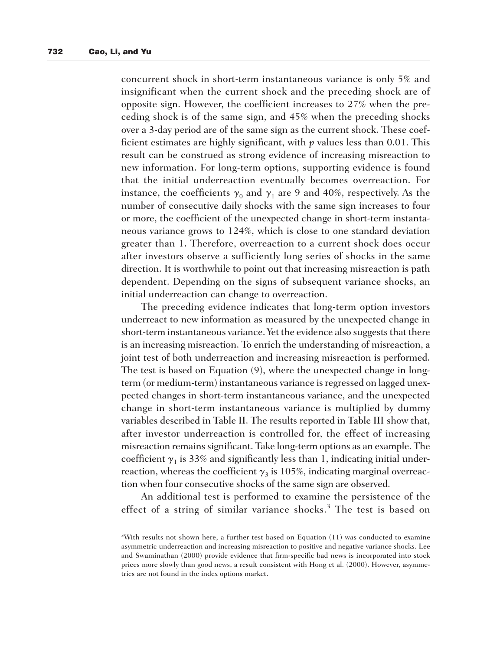concurrent shock in short-term instantaneous variance is only 5% and insignificant when the current shock and the preceding shock are of opposite sign. However, the coefficient increases to 27% when the preceding shock is of the same sign, and 45% when the preceding shocks over a 3-day period are of the same sign as the current shock. These coefficient estimates are highly significant, with *p* values less than 0.01. This result can be construed as strong evidence of increasing misreaction to new information. For long-term options, supporting evidence is found that the initial underreaction eventually becomes overreaction. For instance, the coefficients  $\gamma_0$  and  $\gamma_1$  are 9 and 40%, respectively. As the number of consecutive daily shocks with the same sign increases to four or more, the coefficient of the unexpected change in short-term instantaneous variance grows to 124%, which is close to one standard deviation greater than 1. Therefore, overreaction to a current shock does occur after investors observe a sufficiently long series of shocks in the same direction. It is worthwhile to point out that increasing misreaction is path dependent. Depending on the signs of subsequent variance shocks, an initial underreaction can change to overreaction.

The preceding evidence indicates that long-term option investors underreact to new information as measured by the unexpected change in short-term instantaneous variance. Yet the evidence also suggests that there is an increasing misreaction. To enrich the understanding of misreaction, a joint test of both underreaction and increasing misreaction is performed. The test is based on Equation (9), where the unexpected change in longterm (or medium-term) instantaneous variance is regressed on lagged unexpected changes in short-term instantaneous variance, and the unexpected change in short-term instantaneous variance is multiplied by dummy variables described in Table II. The results reported in Table III showthat, after investor underreaction is controlled for, the effect of increasing misreaction remains significant. Take long-term options as an example. The coefficient  $\gamma_1$  is 33% and significantly less than 1, indicating initial underreaction, whereas the coefficient  $\gamma_3$  is 105%, indicating marginal overreaction when four consecutive shocks of the same sign are observed.

An additional test is performed to examine the persistence of the effect of a string of similar variance shocks.<sup>3</sup> The test is based on

<sup>3</sup> With results not shown here, a further test based on Equation (11) was conducted to examine asymmetric underreaction and increasing misreaction to positive and negative variance shocks. Lee and Swaminathan (2000) provide evidence that firm-specific bad news is incorporated into stock prices more slowly than good news, a result consistent with Hong et al. (2000). However, asymmetries are not found in the index options market.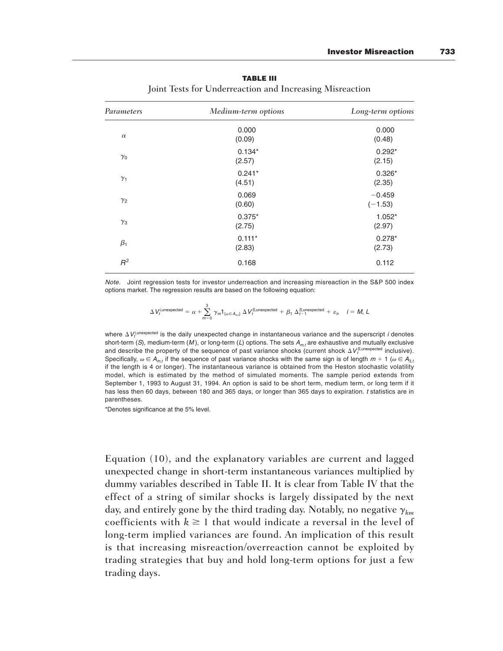| Parameters | Medium-term options | Long-term options     |  |  |
|------------|---------------------|-----------------------|--|--|
|            |                     |                       |  |  |
| $\alpha$   | 0.000<br>(0.09)     | 0.000<br>(0.48)       |  |  |
| $\gamma_0$ | $0.134*$<br>(2.57)  | $0.292*$<br>(2.15)    |  |  |
| $\gamma_1$ | $0.241*$<br>(4.51)  | $0.326*$<br>(2.35)    |  |  |
| $\gamma_2$ | 0.069<br>(0.60)     | $-0.459$<br>$(-1.53)$ |  |  |
| $\gamma_3$ | $0.375*$<br>(2.75)  | $1.052*$<br>(2.97)    |  |  |
| $\beta_1$  | $0.111*$<br>(2.83)  | $0.278*$<br>(2.73)    |  |  |
| $R^2$      | 0.168               | 0.112                 |  |  |

| <b>TABLE III</b> |                                                          |
|------------------|----------------------------------------------------------|
|                  | Joint Tests for Underreaction and Increasing Misreaction |

Note. Joint regression tests for investor underreaction and increasing misreaction in the S&P 500 index options market. The regression results are based on the following equation:

$$
\Delta V_t^{\text{inunexpected}} = \alpha + \sum_{m=0}^{3} \gamma_m \mathbf{1}_{\{\omega \in A_{m} \}} \Delta V_t^{\text{S,unexpected}} + \beta_1 \Delta_{t-1}^{\text{S,unexpected}} + \varepsilon_b \quad i = M, L
$$

where  $\Delta V_t^{\text{iunexpected}}$  is the daily unexpected change in instantaneous variance and the superscript i denotes short-term (S), medium-term (M), or long-term (L) options. The sets  $A_{m,t}$  are exhaustive and mutually exclusive and describe the property of the sequence of past variance shocks (current shock  $\Delta V_t^{\text{S},\text{unexpected}}$  inclusive). Specifically,  $\omega \in A_{m,t}$  if the sequence of past variance shocks with the same sign is of length  $m+1$  ( $\omega \in A_{3,t}$ if the length is 4 or longer). The instantaneous variance is obtained from the Heston stochastic volatility model, which is estimated by the method of simulated moments. The sample period extends from September 1, 1993 to August 31, 1994. An option is said to be short term, medium term, or long term if it has less then 60 days, between 180 and 365 days, or longer than 365 days to expiration. t statistics are in parentheses.

\*Denotes significance at the 5% level.

Equation (10), and the explanatory variables are current and lagged unexpected change in short-term instantaneous variances multiplied by dummy variables described in Table II. It is clear from Table IV that the effect of a string of similar shocks is largely dissipated by the next day, and entirely gone by the third trading day. Notably, no negative  $\gamma_{_{km}}$ coefficients with  $k \geq 1$  that would indicate a reversal in the level of long-term implied variances are found. An implication of this result is that increasing misreaction/overreaction cannot be exploited by trading strategies that buy and hold long-term options for just a few trading days.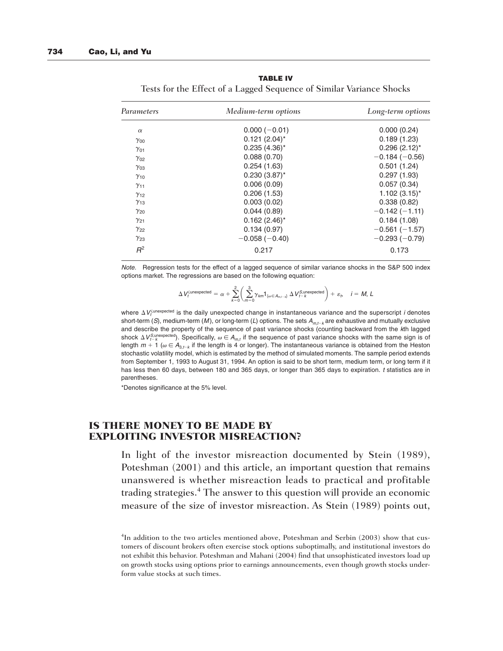|               | oo<br>$\mathbf{I}$          |                   |  |  |
|---------------|-----------------------------|-------------------|--|--|
| Parameters    | Medium-term options         | Long-term options |  |  |
| $\alpha$      | $0.000(-0.01)$              | 0.000(0.24)       |  |  |
| $\gamma_{00}$ | $0.121(2.04)^*$             | 0.189(1.23)       |  |  |
| $\gamma_{01}$ | $0.235(4.36)^{*}$           | $0.296(2.12)^{*}$ |  |  |
| $\gamma_{02}$ | 0.088(0.70)                 | $-0.184(-0.56)$   |  |  |
| $\gamma_{03}$ | 0.254(1.63)                 | 0.501(1.24)       |  |  |
| $\gamma_{10}$ | $0.230(3.87)^{*}$           | 0.297(1.93)       |  |  |
| $\gamma_{11}$ | 0.006(0.09)                 | 0.057(0.34)       |  |  |
| $\gamma_{12}$ | 0.206(1.53)                 | $1.102(3.15)^{*}$ |  |  |
| $\gamma_{13}$ | 0.003(0.02)                 | 0.338(0.82)       |  |  |
| $\gamma_{20}$ | 0.044(0.89)                 | $-0.142(-1.11)$   |  |  |
| $\gamma_{21}$ | $0.162$ (2.46) <sup>*</sup> | 0.184(1.08)       |  |  |
| $\gamma_{22}$ | 0.134(0.97)                 | $-0.561(-1.57)$   |  |  |
| $\gamma_{23}$ | $-0.058(-0.40)$             | $-0.293(-0.79)$   |  |  |
| $R^2$         | 0.217                       | 0.173             |  |  |

**TABLE IV** Tests for the Effect of a Lagged Sequence of Similar Variance Shocks

Note. Regression tests for the effect of a lagged sequence of similar variance shocks in the S&P 500 index options market. The regressions are based on the following equation:

$$
\Delta V_t^{i,\text{unexpected}} = \alpha + \sum_{k=0}^2 \left( \sum_{m=0}^3 \gamma_{km} \mathbf{1}_{\{\omega \in A_{m,t-k}\}} \Delta V_{t-k}^{S,\text{unexpected}} \right) + \varepsilon_b \quad i = M, L
$$

where  $\Delta V_t^{\text{iunexpected}}$  is the daily unexpected change in instantaneous variance and the superscript *i* denotes short-term (*S*), medium-term (*M*), or long-term (*L*) options. The sets  $\pmb{A}_{m.t-K}$  are exhaustive and mutually exclusive and describe the property of the sequence of past variance shocks (counting backward from the kth lagged shock  $\Delta V_{t-k}^{\text{Supapected}}.$  Specifically,  $\omega\in A_{m,t}$  if the sequence of past variance shocks with the same sign is of length  $m+1$  ( $\omega\in A_{3,t-k}$  if the length is 4 or longer). The instantaneous variance is obtained from the Heston stochastic volatility model, which is estimated by the method of simulated moments. The sample period extends from September 1, 1993 to August 31, 1994. An option is said to be short term, medium term, or long term if it has less then 60 days, between 180 and 365 days, or longer than 365 days to expiration. *t* statistics are in parentheses.

\*Denotes significance at the 5% level.

# **IS THERE MONEY TO BE MADE BY EXPLOITING INVESTOR MISREACTION?**

In light of the investor misreaction documented by Stein (1989), Poteshman (2001) and this article, an important question that remains unanswered is whether misreaction leads to practical and profitable trading strategies.<sup>4</sup> The answer to this question will provide an economic measure of the size of investor misreaction. As Stein (1989) points out,

<sup>&</sup>lt;sup>4</sup>In addition to the two articles mentioned above, Poteshman and Serbin (2003) show that customers of discount brokers often exercise stock options suboptimally, and institutional investors do not exhibit this behavior. Poteshman and Mahani (2004) find that unsophisticated investors load up on growth stocks using options prior to earnings announcements, even though growth stocks underform value stocks at such times.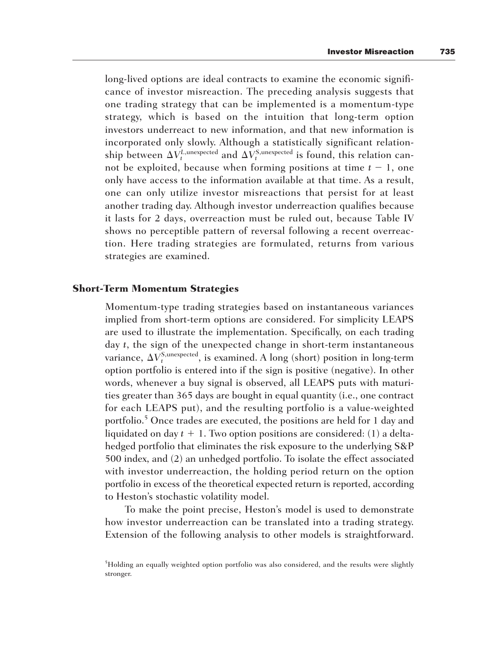long-lived options are ideal contracts to examine the economic significance of investor misreaction. The preceding analysis suggests that one trading strategy that can be implemented is a momentum-type strategy, which is based on the intuition that long-term option investors underreact to new information, and that new information is incorporated only slowly. Although a statistically significant relationship between  $\Delta V_t^{\text{L,unexpected}}$  and  $\Delta V_t^{\text{S,unexpected}}$  is found, this relation cannot be exploited, because when forming positions at time  $t - 1$ , one only have access to the information available at that time. As a result, one can only utilize investor misreactions that persist for at least another trading day. Although investor underreaction qualifies because it lasts for 2 days, overreaction must be ruled out, because Table IV shows no perceptible pattern of reversal following a recent overreaction. Here trading strategies are formulated, returns from various strategies are examined.

### **Short-Term Momentum Strategies**

Momentum-type trading strategies based on instantaneous variances implied from short-term options are considered. For simplicity LEAPS are used to illustrate the implementation. Specifically, on each trading day *t*, the sign of the unexpected change in short-term instantaneous variance,  $\Delta V_t^{\rm S,unexpected}$ , is examined. A long (short) position in long-term option portfolio is entered into if the sign is positive (negative). In other words, whenever a buy signal is observed, all LEAPS puts with maturities greater than 365 days are bought in equal quantity (i.e., one contract for each LEAPS put), and the resulting portfolio is a value-weighted portfolio.<sup>5</sup> Once trades are executed, the positions are held for 1 day and liquidated on day  $t + 1$ . Two option positions are considered: (1) a deltahedged portfolio that eliminates the risk exposure to the underlying S&P 500 index, and (2) an unhedged portfolio. To isolate the effect associated with investor underreaction, the holding period return on the option portfolio in excess of the theoretical expected return is reported, according to Heston's stochastic volatility model.

To make the point precise, Heston's model is used to demonstrate how investor underreaction can be translated into a trading strategy. Extension of the following analysis to other models is straightforward.

<sup>5</sup> Holding an equally weighted option portfolio was also considered, and the results were slightly stronger.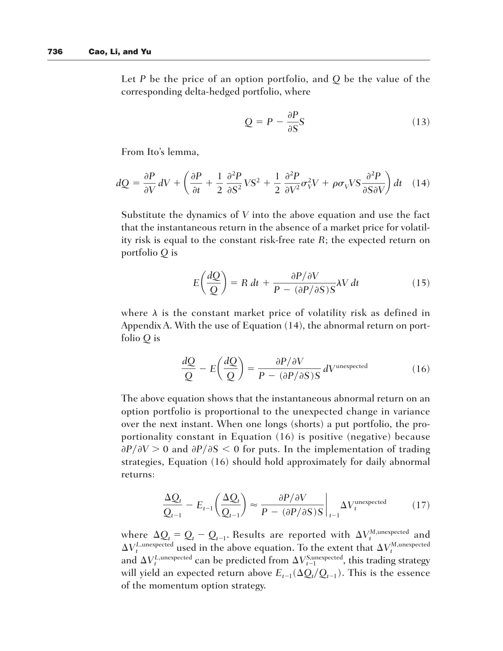Let *P* be the price of an option portfolio, and *Q* be the value of the corresponding delta-hedged portfolio, where

$$
Q = P - \frac{\partial P}{\partial S}S\tag{13}
$$

From Ito's lemma,

$$
dQ = \frac{\partial P}{\partial V} dV + \left(\frac{\partial P}{\partial t} + \frac{1}{2} \frac{\partial^2 P}{\partial S^2} V S^2 + \frac{1}{2} \frac{\partial^2 P}{\partial V^2} \sigma_V^2 V + \rho \sigma_V V S \frac{\partial^2 P}{\partial S \partial V}\right) dt \quad (14)
$$

Substitute the dynamics of *V* into the above equation and use the fact that the instantaneous return in the absence of a market price for volatility risk is equal to the constant risk-free rate *R*; the expected return on portfolio *Q* is

$$
E\left(\frac{dQ}{Q}\right) = R dt + \frac{\partial P/\partial V}{P - (\partial P/\partial S)S} \lambda V dt
$$
 (15)

where  $\lambda$  is the constant market price of volatility risk as defined in Appendix A. With the use of Equation (14), the abnormal return on portfolio *Q* is

$$
\frac{dQ}{Q} - E\left(\frac{dQ}{Q}\right) = \frac{\partial P/\partial V}{P - (\partial P/\partial S)S} dV^{\text{unexpected}}
$$
(16)

The above equation shows that the instantaneous abnormal return on an option portfolio is proportional to the unexpected change in variance over the next instant. When one longs (shorts) a put portfolio, the proportionality constant in Equation (16) is positive (negative) because  $\partial P/\partial V$   $>$  0 and  $\partial P/\partial S$   $<$  0 for puts. In the implementation of trading strategies, Equation (16) should hold approximately for daily abnormal returns:

$$
\frac{\Delta Q_t}{Q_{t-1}} - E_{t-1} \left( \frac{\Delta Q_t}{Q_{t-1}} \right) \approx \frac{\partial P / \partial V}{P - (\partial P / \partial S) S} \bigg|_{t-1} \Delta V_t^{\text{unexpected}} \tag{17}
$$

where  $\Delta Q_t = Q_t - Q_{t-1}.$  Results are reported with  $\Delta V_t^{M,\mathrm{unexpected}}$  and where  $\Delta Q_t = Q_t - Q_{t-1}$ . Results are reported with  $\Delta V_t^{M,\text{unexpected}}$  and  $\Delta V_t^{L,\text{unexpected}}$  used in the above equation. To the extent that  $\Delta V_t^{M,\text{unexpected}}$ and  $\Delta V_t^{L,\mathrm{unexpected}}$  can be predicted from  $\Delta V_{t-1}^{\mathrm{S,\mathrm{unexpected}}},$  this trading strategy will yield an expected return above  $E_{t-1}(\Delta Q_t/Q_{t-1})$ . This is the essence of the momentum option strategy.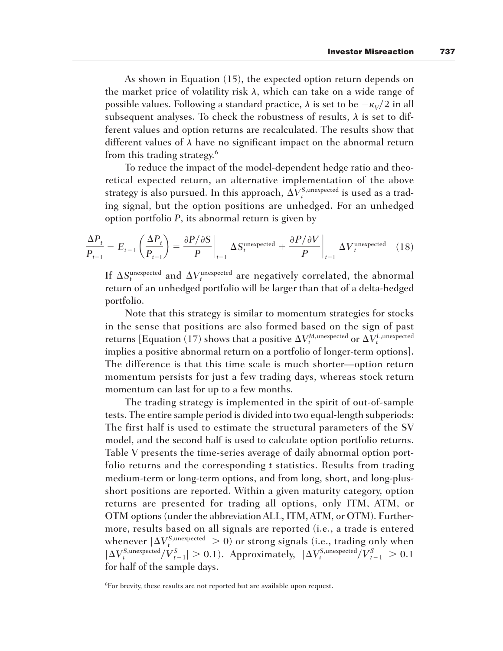As shown in Equation (15), the expected option return depends on the market price of volatility risk  $\lambda$ , which can take on a wide range of possible values. Following a standard practice,  $\lambda$  is set to be  $-\kappa_{\rm V}/2$  in all subsequent analyses. To check the robustness of results,  $\lambda$  is set to different values and option returns are recalculated. The results show that different values of  $\lambda$  have no significant impact on the abnormal return from this trading strategy.<sup>6</sup>

To reduce the impact of the model-dependent hedge ratio and theoretical expected return, an alternative implementation of the above strategy is also pursued. In this approach,  $\Delta V_t^{\mathrm{S,unexpected}}$  is used as a trading signal, but the option positions are unhedged. For an unhedged option portfolio *P*, its abnormal return is given by

$$
\frac{\Delta P_t}{P_{t-1}} - E_{t-1} \left( \frac{\Delta P_t}{P_{t-1}} \right) = \frac{\partial P / \partial S}{P} \bigg|_{t-1} \Delta S_t^{\text{unexpected}} + \frac{\partial P / \partial V}{P} \bigg|_{t-1} \Delta V_t^{\text{unexpected}} \quad (18)
$$

If  $\Delta S_t^{\text{unexpected}}$  and  $\Delta V_t^{\text{unexpected}}$  are negatively correlated, the abnormal return of an unhedged portfolio will be larger than that of a delta-hedged portfolio.

Note that this strategy is similar to momentum strategies for stocks in the sense that positions are also formed based on the sign of past returns [Equation (17) shows that a positive  $\Delta V_t^{M, \mathrm{unexpected}}$  or  $\Delta V_t^{L, \mathrm{unexpected}}$ implies a positive abnormal return on a portfolio of longer-term options]. The difference is that this time scale is much shorter—option return momentum persists for just a few trading days, whereas stock return momentum can last for up to a few months.

The trading strategy is implemented in the spirit of out-of-sample tests. The entire sample period is divided into two equal-length subperiods: The first half is used to estimate the structural parameters of the SV model, and the second half is used to calculate option portfolio returns. Table V presents the time-series average of daily abnormal option portfolio returns and the corresponding *t* statistics. Results from trading medium-term or long-term options, and from long, short, and long-plusshort positions are reported. Within a given maturity category, option returns are presented for trading all options, only ITM, ATM, or OTM options (under the abbreviation ALL, ITM, ATM, or OTM). Furthermore, results based on all signals are reported (i.e., a trade is entered whenever  $|\Delta V_t^{\text{S,unexpected}}|>0)$  or strong signals (i.e., trading only when  $|\Delta V_t^{\rm S,unexpected}/V_{t-1}^S| > 0.1$ ). Approximately,  $|\Delta V_t^{\rm S,unexpected}/V_{t-1}^S| > 0.1$ for half of the sample days.

6 For brevity, these results are not reported but are available upon request.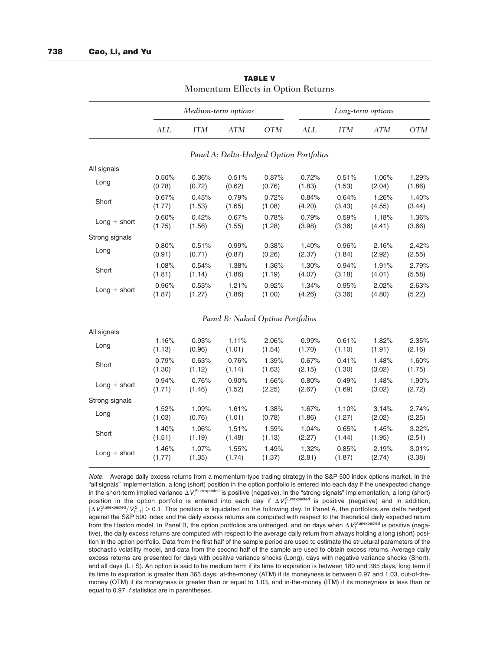|                | Medium-term options |            |            | Long-term options                       |            |            |        |            |
|----------------|---------------------|------------|------------|-----------------------------------------|------------|------------|--------|------------|
|                | <b>ALL</b>          | <b>ITM</b> | <b>ATM</b> | <b>OTM</b>                              | <b>ALL</b> | <b>ITM</b> | ATM    | <b>OTM</b> |
|                |                     |            |            | Panel A: Delta-Hedged Option Portfolios |            |            |        |            |
| All signals    |                     |            |            |                                         |            |            |        |            |
| Long           | 0.50%               | 0.36%      | 0.51%      | 0.87%                                   | 0.72%      | 0.51%      | 1.06%  | 1.29%      |
|                | (0.78)              | (0.72)     | (0.62)     | (0.76)                                  | (1.83)     | (1.53)     | (2.04) | (1.86)     |
| Short          | 0.67%               | 0.45%      | 0.79%      | 0.72%                                   | 0.84%      | 0.64%      | 1.26%  | 1.40%      |
|                | (1.77)              | (1.53)     | (1.65)     | (1.08)                                  | (4.20)     | (3.43)     | (4.55) | (3.44)     |
| $Long + short$ | 0.60%               | 0.42%      | 0.67%      | 0.78%                                   | 0.79%      | 0.59%      | 1.18%  | 1.36%      |
|                | (1.75)              | (1.56)     | (1.55)     | (1.28)                                  | (3.98)     | (3.36)     | (4.41) | (3.66)     |
| Strong signals |                     |            |            |                                         |            |            |        |            |
| Long           | 0.80%               | 0.51%      | 0.99%      | 0.38%                                   | 1.40%      | 0.96%      | 2.16%  | 2.42%      |
|                | (0.91)              | (0.71)     | (0.87)     | (0.26)                                  | (2.37)     | (1.84)     | (2.92) | (2.55)     |
| Short          | 1.08%               | 0.54%      | 1.38%      | 1.36%                                   | 1.30%      | 0.94%      | 1.91%  | 2.79%      |
|                | (1.81)              | (1.14)     | (1.86)     | (1.19)                                  | (4.07)     | (3.18)     | (4.01) | (5.58)     |
| $Long + short$ | 0.96%               | 0.53%      | 1.21%      | 0.92%                                   | 1.34%      | 0.95%      | 2.02%  | 2.63%      |
|                | (1.87)              | (1.27)     | (1.86)     | (1.00)                                  | (4.26)     | (3.36)     | (4.80) | (5.22)     |
|                |                     |            |            | Panel B: Naked Option Portfolios        |            |            |        |            |
| All signals    |                     |            |            |                                         |            |            |        |            |
| Long           | 1.16%               | 0.93%      | 1.11%      | 2.06%                                   | 0.99%      | 0.61%      | 1.82%  | 2.35%      |
|                | (1.13)              | (0.96)     | (1.01)     | (1.54)                                  | (1.70)     | (1.10)     | (1.91) | (2.16)     |
| Short          | 0.79%               | 0.63%      | 0.76%      | 1.39%                                   | 0.67%      | 0.41%      | 1.48%  | 1.60%      |
|                | (1.30)              | (1.12)     | (1.14)     | (1.63)                                  | (2.15)     | (1.30)     | (3.02) | (1.75)     |
| $Long + short$ | 0.94%               | 0.76%      | 0.90%      | 1.66%                                   | 0.80%      | 0.49%      | 1.48%  | 1.90%      |
|                | (1.71)              | (1.46)     | (1.52)     | (2.25)                                  | (2.67)     | (1.69)     | (3.02) | (2.72)     |
| Strong signals |                     |            |            |                                         |            |            |        |            |
| Long           | 1.52%               | 1.09%      | 1.61%      | 1.38%                                   | 1.67%      | 1.10%      | 3.14%  | 2.74%      |
|                | (1.03)              | (0.76)     | (1.01)     | (0.78)                                  | (1.86)     | (1.27)     | (2.02) | (2.25)     |
| Short          | 1.40%               | 1.06%      | 1.51%      | 1.59%                                   | 1.04%      | 0.65%      | 1.45%  | 3.22%      |
|                | (1.51)              | (1.19)     | (1.48)     | (1.13)                                  | (2.27)     | (1.44)     | (1.95) | (2.51)     |
| $Long + short$ | 1.46%               | 1.07%      | 1.55%      | 1.49%                                   | 1.32%      | 0.85%      | 2.19%  | 3.01%      |
|                | (1.77)              | (1.35)     | (1.74)     | (1.37)                                  | (2.81)     | (1.87)     | (2.74) | (3.38)     |

**TABLE V** Momentum Effects in Option Returns

Note. Average daily excess returns from a momentum-type trading strategy in the S&P 500 index options market. In the "all signals" implementation, a long (short) position in the option portfolio is entered into each day if the unexpected change in the short-term implied variance  $\Delta V_t^{S,unexpected}$  is positive (negative). In the "strong signals" implementation, a long (short) position in the option portfolio is entered into each day if  $\Delta V_t^{\rm Sunexpectral}$  is positive (negative) and in addition,  $|\Delta V_t^{\text{Sunexpected}}/V_{t-1}^S|>$  0.1. This position is liquidated on the following day. In Panel A, the portfolios are delta hedged against the S&P 500 index and the daily excess returns are computed with respect to the theoretical daily expected return from the Heston model. In Panel B, the option portfolios are unhedged, and on days when  $\Delta V_t^{\rm S,unexpectral}$  is positive (negative), the daily excess returns are computed with respect to the average daily return from always holding a long (short) position in the option portfolio. Data from the first half of the sample period are used to estimate the structural parameters of the stochastic volatility model, and data from the second half of the sample are used to obtain excess returns. Average daily excess returns are presented for days with positive variance shocks (Long), days with negative variance shocks (Short), and all days ( $L+S$ ). An option is said to be medium term if its time to expiration is between 180 and 365 days, long term if its time to expiration is greater than 365 days, at-the-money (ATM) if its moneyness is between 0.97 and 1.03, out-of-themoney (OTM) if its moneyness is greater than or equal to 1.03, and in-the-money (ITM) if its moneyness is less than or equal to 0.97. t statistics are in parentheses.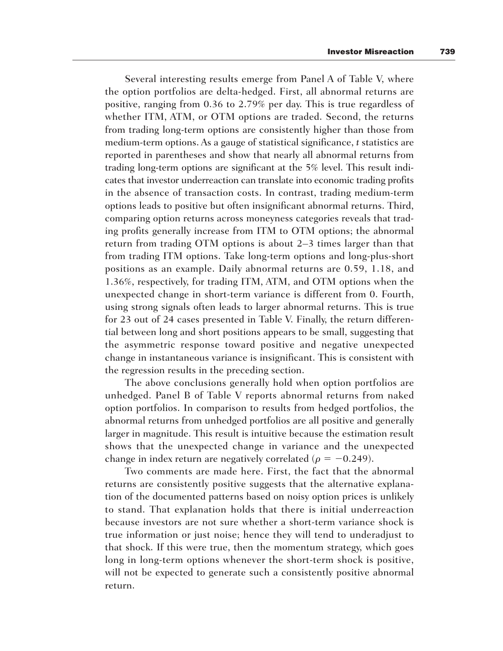Several interesting results emerge from Panel A of Table V, where the option portfolios are delta-hedged. First, all abnormal returns are positive, ranging from 0.36 to 2.79% per day. This is true regardless of whether ITM, ATM, or OTM options are traded. Second, the returns from trading long-term options are consistently higher than those from medium-term options. As a gauge of statistical significance, *t* statistics are reported in parentheses and show that nearly all abnormal returns from trading long-term options are significant at the 5% level. This result indicates that investor underreaction can translate into economic trading profits in the absence of transaction costs. In contrast, trading medium-term options leads to positive but often insignificant abnormal returns. Third, comparing option returns across moneyness categories reveals that trading profits generally increase from ITM to OTM options; the abnormal return from trading OTM options is about 2–3 times larger than that from trading ITM options. Take long-term options and long-plus-short positions as an example. Daily abnormal returns are 0.59, 1.18, and 1.36%, respectively, for trading ITM, ATM, and OTM options when the unexpected change in short-term variance is different from 0. Fourth, using strong signals often leads to larger abnormal returns. This is true for 23 out of 24 cases presented in Table V. Finally, the return differential between long and short positions appears to be small, suggesting that the asymmetric response toward positive and negative unexpected change in instantaneous variance is insignificant. This is consistent with the regression results in the preceding section.

The above conclusions generally hold when option portfolios are unhedged. Panel B of Table V reports abnormal returns from naked option portfolios. In comparison to results from hedged portfolios, the abnormal returns from unhedged portfolios are all positive and generally larger in magnitude. This result is intuitive because the estimation result shows that the unexpected change in variance and the unexpected change in index return are negatively correlated ( $\rho = -0.249$ ).

Two comments are made here. First, the fact that the abnormal returns are consistently positive suggests that the alternative explanation of the documented patterns based on noisy option prices is unlikely to stand. That explanation holds that there is initial underreaction because investors are not sure whether a short-term variance shock is true information or just noise; hence they will tend to underadjust to that shock. If this were true, then the momentum strategy, which goes long in long-term options whenever the short-term shock is positive, will not be expected to generate such a consistently positive abnormal return.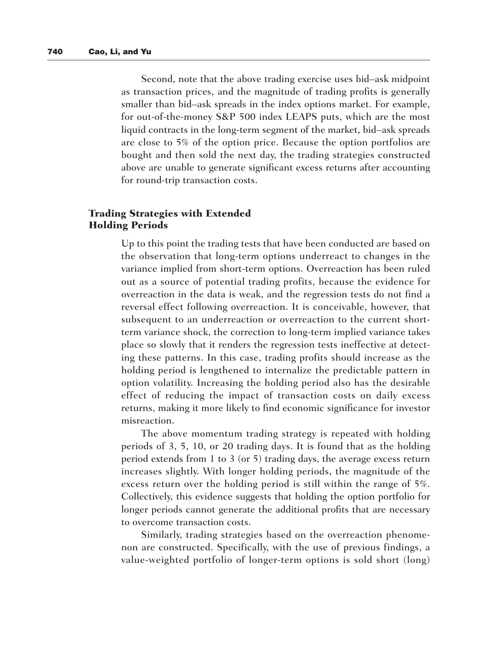Second, note that the above trading exercise uses bid–ask midpoint as transaction prices, and the magnitude of trading profits is generally smaller than bid–ask spreads in the index options market. For example, for out-of-the-money S&P 500 index LEAPS puts, which are the most liquid contracts in the long-term segment of the market, bid–ask spreads are close to 5% of the option price. Because the option portfolios are bought and then sold the next day, the trading strategies constructed above are unable to generate significant excess returns after accounting for round-trip transaction costs.

# **Trading Strategies with Extended Holding Periods**

Up to this point the trading tests that have been conducted are based on the observation that long-term options underreact to changes in the variance implied from short-term options. Overreaction has been ruled out as a source of potential trading profits, because the evidence for overreaction in the data is weak, and the regression tests do not find a reversal effect following overreaction. It is conceivable, however, that subsequent to an underreaction or overreaction to the current shortterm variance shock, the correction to long-term implied variance takes place so slowly that it renders the regression tests ineffective at detecting these patterns. In this case, trading profits should increase as the holding period is lengthened to internalize the predictable pattern in option volatility. Increasing the holding period also has the desirable effect of reducing the impact of transaction costs on daily excess returns, making it more likely to find economic significance for investor misreaction.

The above momentum trading strategy is repeated with holding periods of 3, 5, 10, or 20 trading days. It is found that as the holding period extends from 1 to 3 (or 5) trading days, the average excess return increases slightly. With longer holding periods, the magnitude of the excess return over the holding period is still within the range of 5%. Collectively, this evidence suggests that holding the option portfolio for longer periods cannot generate the additional profits that are necessary to overcome transaction costs.

Similarly, trading strategies based on the overreaction phenomenon are constructed. Specifically, with the use of previous findings, a value-weighted portfolio of longer-term options is sold short (long)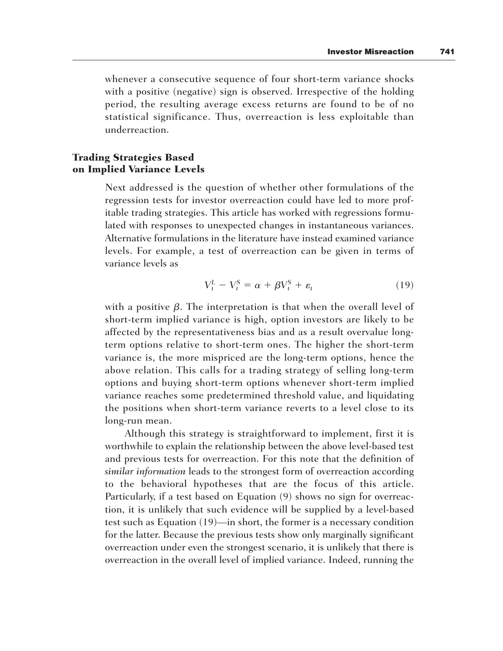whenever a consecutive sequence of four short-term variance shocks with a positive (negative) sign is observed. Irrespective of the holding period, the resulting average excess returns are found to be of no statistical significance. Thus, overreaction is less exploitable than underreaction.

# **Trading Strategies Based on Implied Variance Levels**

Next addressed is the question of whether other formulations of the regression tests for investor overreaction could have led to more profitable trading strategies. This article has worked with regressions formulated with responses to unexpected changes in instantaneous variances. Alternative formulations in the literature have instead examined variance levels. For example, a test of overreaction can be given in terms of variance levels as

$$
V_t^L - V_t^S = \alpha + \beta V_t^S + \varepsilon_t \tag{19}
$$

with a positive  $\beta.$  The interpretation is that when the overall level of short-term implied variance is high, option investors are likely to be affected by the representativeness bias and as a result overvalue longterm options relative to short-term ones. The higher the short-term variance is, the more mispriced are the long-term options, hence the above relation. This calls for a trading strategy of selling long-term options and buying short-term options whenever short-term implied variance reaches some predetermined threshold value, and liquidating the positions when short-term variance reverts to a level close to its long-run mean.

Although this strategy is straightforward to implement, first it is worthwhile to explain the relationship between the above level-based test and previous tests for overreaction. For this note that the definition of *similar information* leads to the strongest form of overreaction according to the behavioral hypotheses that are the focus of this article. Particularly, if a test based on Equation (9) shows no sign for overreaction, it is unlikely that such evidence will be supplied by a level-based test such as Equation (19)—in short, the former is a necessary condition for the latter. Because the previous tests show only marginally significant overreaction under even the strongest scenario, it is unlikely that there is overreaction in the overall level of implied variance. Indeed, running the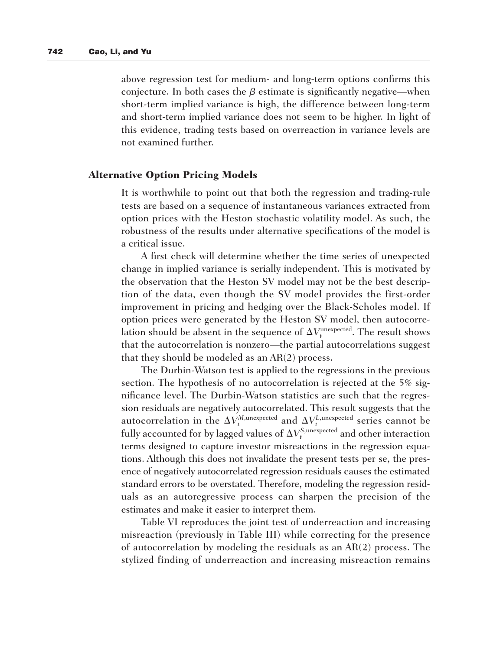above regression test for medium- and long-term options confirms this conjecture. In both cases the  $\beta$  estimate is significantly negative—when short-term implied variance is high, the difference between long-term and short-term implied variance does not seem to be higher. In light of this evidence, trading tests based on overreaction in variance levels are not examined further.

#### **Alternative Option Pricing Models**

It is worthwhile to point out that both the regression and trading-rule tests are based on a sequence of instantaneous variances extracted from option prices with the Heston stochastic volatility model. As such, the robustness of the results under alternative specifications of the model is a critical issue.

A first check will determine whether the time series of unexpected change in implied variance is serially independent. This is motivated by the observation that the Heston SV model may not be the best description of the data, even though the SV model provides the first-order improvement in pricing and hedging over the Black-Scholes model. If option prices were generated by the Heston SV model, then autocorrelation should be absent in the sequence of  $\Delta V_t^{\text{unexpected}}.$  The result shows that the autocorrelation is nonzero—the partial autocorrelations suggest that they should be modeled as an AR(2) process.

The Durbin-Watson test is applied to the regressions in the previous section. The hypothesis of no autocorrelation is rejected at the 5% significance level. The Durbin-Watson statistics are such that the regression residuals are negatively autocorrelated. This result suggests that the autocorrelation in the  $\Delta V_t^{M, \mathrm{unexpected}}$  and  $\Delta V_t^{L, \mathrm{unexpected}}$  series cannot be fully accounted for by lagged values of  $\Delta V_t^{\mathrm{S,unexpected}}$  and other interaction terms designed to capture investor misreactions in the regression equations. Although this does not invalidate the present tests per se, the presence of negatively autocorrelated regression residuals causes the estimated standard errors to be overstated. Therefore, modeling the regression residuals as an autoregressive process can sharpen the precision of the estimates and make it easier to interpret them.

Table VI reproduces the joint test of underreaction and increasing misreaction (previously in Table III) while correcting for the presence of autocorrelation by modeling the residuals as an AR(2) process. The stylized finding of underreaction and increasing misreaction remains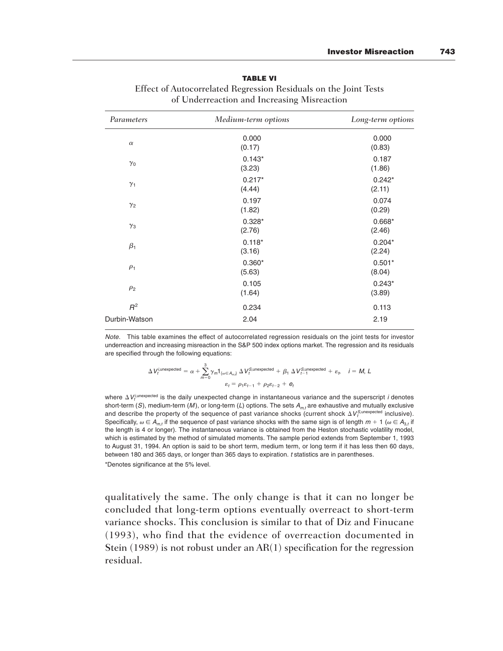#### **TABLE VI**

| Parameters    | Medium-term options | Long-term options  |
|---------------|---------------------|--------------------|
| $\alpha$      | 0.000<br>(0.17)     | 0.000<br>(0.83)    |
| $\gamma_0$    | $0.143*$<br>(3.23)  | 0.187<br>(1.86)    |
| $\gamma_1$    | $0.217*$<br>(4.44)  | $0.242*$<br>(2.11) |
| $\gamma_2$    | 0.197<br>(1.82)     | 0.074<br>(0.29)    |
| $\gamma_3$    | $0.328*$<br>(2.76)  | $0.668*$<br>(2.46) |
| $\beta_1$     | $0.118*$<br>(3.16)  | $0.204*$<br>(2.24) |
| $\rho_1$      | $0.360*$<br>(5.63)  | $0.501*$<br>(8.04) |
| $\rho_2$      | 0.105<br>(1.64)     | $0.243*$<br>(3.89) |
| $R^2$         | 0.234               | 0.113              |
| Durbin-Watson | 2.04                | 2.19               |

Effect of Autocorrelated Regression Residuals on the Joint Tests of Underreaction and Increasing Misreaction

Note. This table examines the effect of autocorrelated regression residuals on the joint tests for investor underreaction and increasing misreaction in the S&P 500 index options market. The regression and its residuals are specified through the following equations:

$$
\Delta V_t^{i,\text{unexpected}} = \alpha + \sum_{m=0}^{3} \gamma_m \mathbf{1}_{\{\omega \in A_m\}} \Delta V_t^{S,\text{unexpected}} + \beta_1 \Delta V_{t-1}^{S,\text{unexpected}} + \varepsilon_b \quad i = M, L
$$

$$
\varepsilon_t = \rho_1 \varepsilon_{t-1} + \rho_2 \varepsilon_{t-2} + e_t
$$

where  $\Delta V_t^{i,\text{unexpected}}$  is the daily unexpected change in instantaneous variance and the superscript i denotes short-term (S), medium-term (M), or long-term (L) options. The sets  $A_{m,t}$  are exhaustive and mutually exclusive and describe the property of the sequence of past variance shocks (current shock  $\Delta V_t^{\text{S},\text{unexpected}}$  inclusive). Specifically,  $\omega \in A_{m,t}$  if the sequence of past variance shocks with the same sign is of length  $m+1$  ( $\omega \in A_{3,t}$  if the length is 4 or longer). The instantaneous variance is obtained from the Heston stochastic volatility model, which is estimated by the method of simulated moments. The sample period extends from September 1, 1993 to August 31, 1994. An option is said to be short term, medium term, or long term if it has less then 60 days, between 180 and 365 days, or longer than 365 days to expiration. *t* statistics are in parentheses. \*Denotes significance at the 5% level.

qualitatively the same. The only change is that it can no longer be concluded that long-term options eventually overreact to short-term variance shocks. This conclusion is similar to that of Diz and Finucane (1993), who find that the evidence of overreaction documented in Stein (1989) is not robust under an AR(1) specification for the regression residual.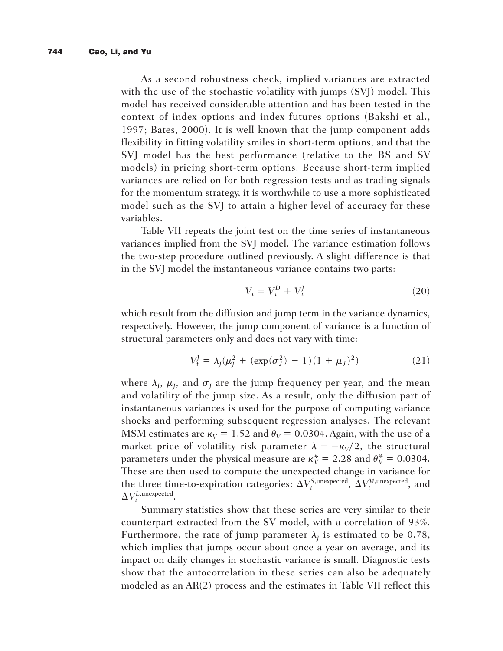As a second robustness check, implied variances are extracted with the use of the stochastic volatility with jumps (SVJ) model. This model has received considerable attention and has been tested in the context of index options and index futures options (Bakshi et al., 1997; Bates, 2000). It is well known that the jump component adds flexibility in fitting volatility smiles in short-term options, and that the SVJ model has the best performance (relative to the BS and SV models) in pricing short-term options. Because short-term implied variances are relied on for both regression tests and as trading signals for the momentum strategy, it is worthwhile to use a more sophisticated model such as the SVJ to attain a higher level of accuracy for these variables.

Table VII repeats the joint test on the time series of instantaneous variances implied from the SVJ model. The variance estimation follows the two-step procedure outlined previously. A slight difference is that in the SVJ model the instantaneous variance contains two parts:

$$
V_t = V_t^D + V_t^J \tag{20}
$$

which result from the diffusion and jump term in the variance dynamics, respectively. However, the jump component of variance is a function of structural parameters only and does not vary with time:

$$
V_t^J = \lambda_J (\mu_J^2 + (\exp(\sigma_J^2) - 1)(1 + \mu_J)^2)
$$
 (21)

where  $\lambda_j$ ,  $\mu_j$ , and  $\sigma_j$  are the jump frequency per year, and the mean and volatility of the jump size. As a result, only the diffusion part of instantaneous variances is used for the purpose of computing variance shocks and performing subsequent regression analyses. The relevant MSM estimates are  $\kappa_V = 1.52$  and  $\theta_V = 0.0304$ . Again, with the use of a market price of volatility risk parameter  $\lambda = -\kappa_V/2$ , the structural parameters under the physical measure are  $\kappa_V^* = 2.28$  and  $\theta_V^* = 0.0304$ . These are then used to compute the unexpected change in variance for the three time-to-expiration categories:  $\Delta V_t^{\rm S,unexpected}, \ \Delta V_t^{\rm M,unexpected},$  and  $\Delta V_t^{L,\mathrm{unexpected}}$ .

Summary statistics show that these series are very similar to their counterpart extracted from the SV model, with a correlation of 93%. Furthermore, the rate of jump parameter  $\lambda_j$  is estimated to be 0.78, which implies that jumps occur about once a year on average, and its impact on daily changes in stochastic variance is small. Diagnostic tests show that the autocorrelation in these series can also be adequately modeled as an AR(2) process and the estimates in Table VII reflect this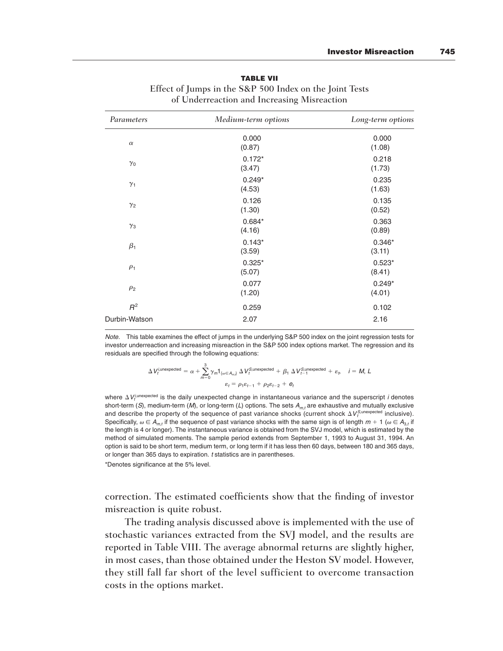#### **TABLE VII**

| Parameters    | Medium-term options | Long-term options  |  |  |
|---------------|---------------------|--------------------|--|--|
| $\alpha$      | 0.000<br>(0.87)     | 0.000<br>(1.08)    |  |  |
| $\gamma_0$    | $0.172*$<br>(3.47)  | 0.218<br>(1.73)    |  |  |
| $\gamma_1$    | $0.249*$<br>(4.53)  | 0.235<br>(1.63)    |  |  |
| $\gamma_2$    | 0.126<br>(1.30)     | 0.135<br>(0.52)    |  |  |
| $\gamma_3$    | $0.684*$<br>(4.16)  | 0.363<br>(0.89)    |  |  |
| $\beta_1$     | $0.143*$<br>(3.59)  | $0.346*$<br>(3.11) |  |  |
| $\rho_1$      | $0.325*$<br>(5.07)  | $0.523*$<br>(8.41) |  |  |
| $\rho_2$      | 0.077<br>(1.20)     | $0.249*$<br>(4.01) |  |  |
| $R^2$         | 0.259               | 0.102              |  |  |
| Durbin-Watson | 2.07                | 2.16               |  |  |

# Effect of Jumps in the S&P 500 Index on the Joint Tests of Underreaction and Increasing Misreaction

Note. This table examines the effect of jumps in the underlying S&P 500 index on the joint regression tests for investor underreaction and increasing misreaction in the S&P 500 index options market. The regression and its residuals are specified through the following equations:

$$
\Delta V_t^{i,\text{unexpected}} = \alpha + \sum_{m=0}^{3} \gamma_m \mathbf{1}_{\{\omega \in A_m\}} \Delta V_t^{S,\text{unexpected}} + \beta_1 \Delta V_{t-1}^{S,\text{unexpected}} + \varepsilon_b \quad i = M, L
$$

$$
\varepsilon_t = \rho_1 \varepsilon_{t-1} + \rho_2 \varepsilon_{t-2} + e_t
$$

where  $\Delta V_t^{i,\text{unexpected}}$  is the daily unexpected change in instantaneous variance and the superscript i denotes short-term (S), medium-term (M), or long-term (L) options. The sets  $A_{m,t}$  are exhaustive and mutually exclusive and describe the property of the sequence of past variance shocks (current shock  $\Delta V_t^{\text{S},\text{unexpected}}$  inclusive). Specifically,  $\omega \in A_{m,t}$  if the sequence of past variance shocks with the same sign is of length  $m+1$  ( $\omega \in A_{3,t}$  if the length is 4 or longer). The instantaneous variance is obtained from the SVJ model, which is estimated by the method of simulated moments. The sample period extends from September 1, 1993 to August 31, 1994. An option is said to be short term, medium term, or long term if it has less then 60 days, between 180 and 365 days, or longer than 365 days to expiration. t statistics are in parentheses.

\*Denotes significance at the 5% level.

correction. The estimated coefficients show that the finding of investor misreaction is quite robust.

The trading analysis discussed above is implemented with the use of stochastic variances extracted from the SVJ model, and the results are reported in Table VIII. The average abnormal returns are slightly higher, in most cases, than those obtained under the Heston SV model. However, they still fall far short of the level sufficient to overcome transaction costs in the options market.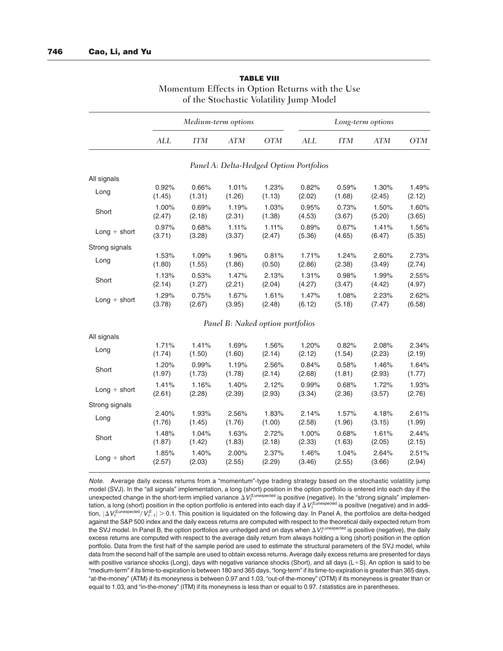|                | Medium-term options |            |                                  | Long-term options |                                         |            |            |            |
|----------------|---------------------|------------|----------------------------------|-------------------|-----------------------------------------|------------|------------|------------|
|                | ALL                 | <b>ITM</b> | <b>ATM</b>                       | <b>OTM</b>        | ALL                                     | <b>ITM</b> | <b>ATM</b> | <b>OTM</b> |
|                |                     |            |                                  |                   | Panel A: Delta-Hedged Option Portfolios |            |            |            |
| All signals    |                     |            |                                  |                   |                                         |            |            |            |
| Long           | 0.92%               | 0.66%      | 1.01%                            | 1.23%             | 0.82%                                   | 0.59%      | 1.30%      | 1.49%      |
|                | (1.45)              | (1.31)     | (1.26)                           | (1.13)            | (2.02)                                  | (1.68)     | (2.45)     | (2.12)     |
| Short          | 1.00%               | 0.69%      | 1.19%                            | 1.03%             | 0.95%                                   | 0.73%      | 1.50%      | 1.60%      |
|                | (2.47)              | (2.18)     | (2.31)                           | (1.38)            | (4.53)                                  | (3.67)     | (5.20)     | (3.65)     |
| $Long + short$ | 0.97%               | 0.68%      | 1.11%                            | 1.11%             | 0.89%                                   | 0.67%      | 1.41%      | 1.56%      |
|                | (3.71)              | (3.28)     | (3.37)                           | (2.47)            | (5.36)                                  | (4.65)     | (6.47)     | (5.35)     |
| Strong signals |                     |            |                                  |                   |                                         |            |            |            |
| Long           | 1.53%               | 1.09%      | 1.96%                            | 0.81%             | 1.71%                                   | 1.24%      | 2.60%      | 2.73%      |
|                | (1.80)              | (1.55)     | (1.86)                           | (0.50)            | (2.86)                                  | (2.38)     | (3.49)     | (2.74)     |
| Short          | 1.13%               | 0.53%      | 1.47%                            | 2.13%             | 1.31%                                   | 0.98%      | 1.99%      | 2.55%      |
|                | (2.14)              | (1.27)     | (2.21)                           | (2.04)            | (4.27)                                  | (3.47)     | (4.42)     | (4.97)     |
| $Long + short$ | 1.29%               | 0.75%      | 1.67%                            | 1.61%             | 1.47%                                   | 1.08%      | 2.23%      | 2.62%      |
|                | (3.78)              | (2.67)     | (3.95)                           | (2.48)            | (6.12)                                  | (5.18)     | (7.47)     | (6.58)     |
|                |                     |            | Panel B: Naked option portfolios |                   |                                         |            |            |            |
| All signals    |                     |            |                                  |                   |                                         |            |            |            |
| Long           | 1.71%               | 1.41%      | 1.69%                            | 1.56%             | 1.20%                                   | 0.82%      | 2.08%      | 2.34%      |
|                | (1.74)              | (1.50)     | (1.60)                           | (2.14)            | (2.12)                                  | (1.54)     | (2.23)     | (2.19)     |
| Short          | 1.20%               | 0.99%      | 1.19%                            | 2.56%             | 0.84%                                   | 0.58%      | 1.46%      | 1.64%      |
|                | (1.97)              | (1.73)     | (1.78)                           | (2.14)            | (2.68)                                  | (1.81)     | (2.93)     | (1.77)     |
| $Long + short$ | 1.41%               | 1.16%      | 1.40%                            | 2.12%             | 0.99%                                   | 0.68%      | 1.72%      | 1.93%      |
|                | (2.61)              | (2.28)     | (2.39)                           | (2.93)            | (3.34)                                  | (2.36)     | (3.57)     | (2.76)     |
| Strong signals |                     |            |                                  |                   |                                         |            |            |            |
| Long           | 2.40%               | 1.93%      | 2.56%                            | 1.83%             | 2.14%                                   | 1.57%      | 4.18%      | 2.61%      |
|                | (1.76)              | (1.45)     | (1.76)                           | (1.00)            | (2.58)                                  | (1.96)     | (3.15)     | (1.99)     |
| Short          | 1.48%               | 1.04%      | 1.63%                            | 2.72%             | 1.00%                                   | 0.68%      | 1.61%      | 2.44%      |
|                | (1.87)              | (1.42)     | (1.83)                           | (2.18)            | (2.33)                                  | (1.63)     | (2.05)     | (2.15)     |
| $Long + short$ | 1.85%               | 1.40%      | 2.00%                            | 2.37%             | 1.46%                                   | 1.04%      | 2.64%      | 2.51%      |
|                | (2.57)              | (2.03)     | (2.55)                           | (2.29)            | (3.46)                                  | (2.55)     | (3.66)     | (2.94)     |

**TABLE VIII** Momentum Effects in Option Returns with the Use of the Stochastic Volatility Jump Model

Note. Average daily excess returns from a "momentum"-type trading strategy based on the stochastic volatility jump model (SVJ). In the "all signals" implementation, a long (short) position in the option portfolio is entered into each day if the unexpected change in the short-term implied variance  $\Delta V_t^{\rm Sunexpectral}$  is positive (negative). In the "strong signals" implementation, a long (short) position in the option portfolio is entered into each day if  $\Delta V_t^{\rm S, unexpected}$  is positive (negative) and in addition,  $\vert\Delta V_t^{\rm Sunexpectral}/V_{t-1}^s\vert>$  0.1. This position is liquidated on the following day. In Panel A, the portfolios are delta-hedged against the S&P 500 index and the daily excess returns are computed with respect to the theoretical daily expected return from the SVJ model. In Panel B, the option portfolios are unhedged and on days when  $\Delta V_t^{\text{s,unexpected}}$  is positive (negative), the daily excess returns are computed with respect to the average daily return from always holding a long (short) position in the option portfolio. Data from the first half of the sample period are used to estimate the structural parameters of the SVJ model, while data from the second half of the sample are used to obtain excess returns. Average daily excess returns are presented for days with positive variance shocks (Long), days with negative variance shocks (Short), and all days (L+S). An option is said to be "medium-term" if its time-to-expiration is between 180 and 365 days, "long-term" if its time-to-expiration is greater than 365 days, "at-the-money" (ATM) if its moneyness is between 0.97 and 1.03, "out-of-the-money" (OTM) if its moneyness is greater than or equal to 1.03, and "in-the-money" (ITM) if its moneyness is less than or equal to 0.97. t statistics are in parentheses.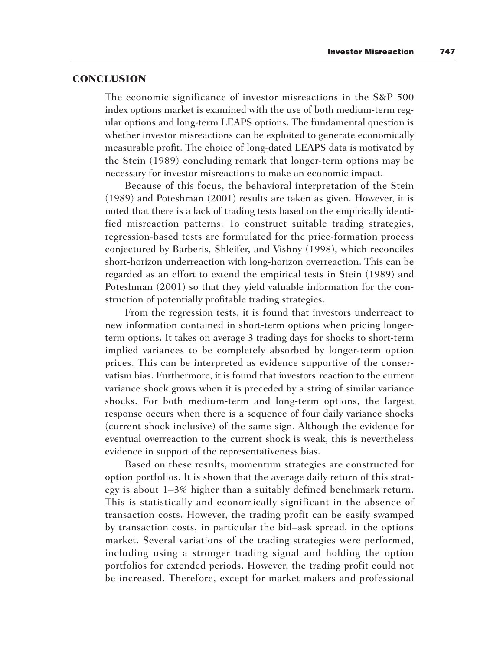## **CONCLUSION**

The economic significance of investor misreactions in the S&P 500 index options market is examined with the use of both medium-term regular options and long-term LEAPS options. The fundamental question is whether investor misreactions can be exploited to generate economically measurable profit. The choice of long-dated LEAPS data is motivated by the Stein (1989) concluding remark that longer-term options may be necessary for investor misreactions to make an economic impact.

Because of this focus, the behavioral interpretation of the Stein (1989) and Poteshman (2001) results are taken as given. However, it is noted that there is a lack of trading tests based on the empirically identified misreaction patterns. To construct suitable trading strategies, regression-based tests are formulated for the price-formation process conjectured by Barberis, Shleifer, and Vishny (1998), which reconciles short-horizon underreaction with long-horizon overreaction. This can be regarded as an effort to extend the empirical tests in Stein (1989) and Poteshman (2001) so that they yield valuable information for the construction of potentially profitable trading strategies.

From the regression tests, it is found that investors underreact to new information contained in short-term options when pricing longerterm options. It takes on average 3 trading days for shocks to short-term implied variances to be completely absorbed by longer-term option prices. This can be interpreted as evidence supportive of the conservatism bias. Furthermore, it is found that investors' reaction to the current variance shock grows when it is preceded by a string of similar variance shocks. For both medium-term and long-term options, the largest response occurs when there is a sequence of four daily variance shocks (current shock inclusive) of the same sign. Although the evidence for eventual overreaction to the current shock is weak, this is nevertheless evidence in support of the representativeness bias.

Based on these results, momentum strategies are constructed for option portfolios. It is shown that the average daily return of this strategy is about 1–3% higher than a suitably defined benchmark return. This is statistically and economically significant in the absence of transaction costs. However, the trading profit can be easily swamped by transaction costs, in particular the bid–ask spread, in the options market. Several variations of the trading strategies were performed, including using a stronger trading signal and holding the option portfolios for extended periods. However, the trading profit could not be increased. Therefore, except for market makers and professional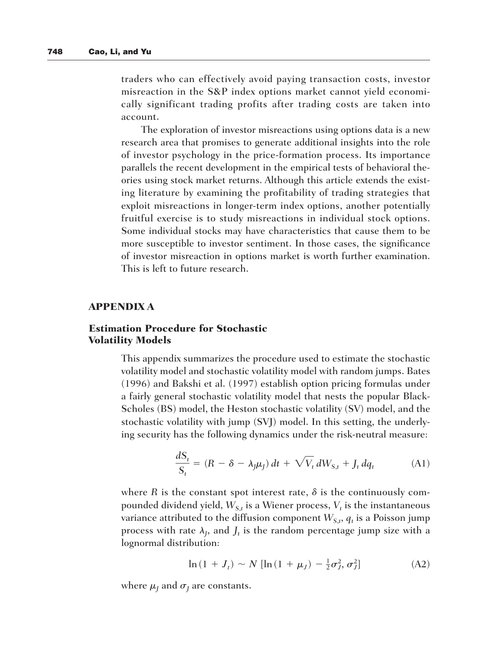traders who can effectively avoid paying transaction costs, investor misreaction in the S&P index options market cannot yield economically significant trading profits after trading costs are taken into account.

The exploration of investor misreactions using options data is a new research area that promises to generate additional insights into the role of investor psychology in the price-formation process. Its importance parallels the recent development in the empirical tests of behavioral theories using stock market returns. Although this article extends the existing literature by examining the profitability of trading strategies that exploit misreactions in longer-term index options, another potentially fruitful exercise is to study misreactions in individual stock options. Some individual stocks may have characteristics that cause them to be more susceptible to investor sentiment. In those cases, the significance of investor misreaction in options market is worth further examination. This is left to future research.

### **APPENDIX A**

## **Estimation Procedure for Stochastic Volatility Models**

This appendix summarizes the procedure used to estimate the stochastic volatility model and stochastic volatility model with random jumps. Bates (1996) and Bakshi et al. (1997) establish option pricing formulas under a fairly general stochastic volatility model that nests the popular Black-Scholes (BS) model, the Heston stochastic volatility (SV) model, and the stochastic volatility with jump (SVJ) model. In this setting, the underlying security has the following dynamics under the risk-neutral measure:

$$
\frac{dS_t}{S_t} = (R - \delta - \lambda_j \mu_j) dt + \sqrt{V_t} dW_{S,t} + J_t dq_t
$$
 (A1)

where  $R$  is the constant spot interest rate,  $\delta$  is the continuously compounded dividend yield,  $W_{\mathrm{S},t}$  is a Wiener process,  $V_t$  is the instantaneous variance attributed to the diffusion component  $W_{\text{S},t},$   $q_t$  is a Poisson jump process with rate  $\lambda_j$ , and  $J_t$  is the random percentage jump size with a lognormal distribution:

$$
\ln(1 + J_t) \sim N [\ln(1 + \mu_J) - \frac{1}{2}\sigma_J^2, \sigma_J^2]
$$
 (A2)

where  $\mu$ <sup>*I*</sup> and  $\sigma$ <sup>*I*</sup> are constants.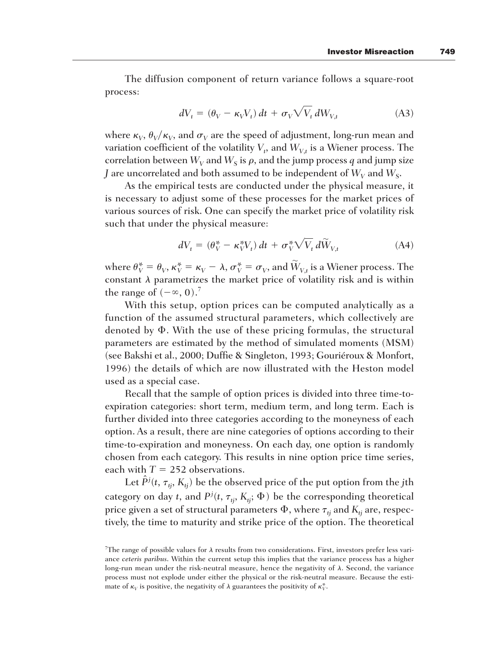The diffusion component of return variance follows a square-root process:

$$
dV_t = (\theta_V - \kappa_V V_t) dt + \sigma_V \sqrt{V_t} dW_{V,t}
$$
 (A3)

where  $\kappa_V$ ,  $\theta_V/\kappa_V$ , and  $\sigma_V$  are the speed of adjustment, long-run mean and variation coefficient of the volatility  $V_t$ , and  $W_{V,t}$  is a Wiener process. The correlation between  $W_V$  and  $W_S$  is  $\rho$ , and the jump process  $q$  and jump size *J* are uncorrelated and both assumed to be independent of  $W_V$  and  $W_S$ .

As the empirical tests are conducted under the physical measure, it is necessary to adjust some of these processes for the market prices of various sources of risk. One can specify the market price of volatility risk such that under the physical measure:

$$
dV_t = (\theta_V^* - \kappa_V^* V_t) dt + \sigma_V^* \sqrt{V_t} d\widetilde{W}_{V,t}
$$
 (A4)

where  $\theta_V^* = \theta_V$ ,  $\kappa_V^* = \kappa_V - \lambda$ ,  $\sigma_V^* = \sigma_V$ , and  $\widetilde{W}_{V,t}$  is a Wiener process. The constant  $\lambda$  parametrizes the market price of volatility risk and is within the range of  $(-\infty, 0)$ .<sup>7</sup>

With this setup, option prices can be computed analytically as a function of the assumed structural parameters, which collectively are denoted by  $\Phi.$  With the use of these pricing formulas, the structural parameters are estimated by the method of simulated moments (MSM) (see Bakshi et al., 2000; Duffie & Singleton, 1993; Gouriéroux & Monfort, 1996) the details of which are now illustrated with the Heston model used as a special case.

Recall that the sample of option prices is divided into three time-toexpiration categories: short term, medium term, and long term. Each is further divided into three categories according to the moneyness of each option. As a result, there are nine categories of options according to their time-to-expiration and moneyness. On each day, one option is randomly chosen from each category. This results in nine option price time series, each with  $T = 252$  observations.

Let  $\hat{P}^{j}(t, \, \tau_{tj}, \, K_{tj})$  be the observed price of the put option from the  $j$ th category on day *t*, and  $P^j(t, \tau_{t_j}, K_{t_j}; \Phi)$  be the corresponding theoretical price given a set of structural parameters  $\Phi$ , where  $\tau_{\mathit{tj}}$  and  $K_{\mathit{tj}}$  are, respectively, the time to maturity and strike price of the option. The theoretical

The range of possible values for  $\lambda$  results from two considerations. First, investors prefer less variance *ceteris paribus*. Within the current setup this implies that the variance process has a higher long-run mean under the risk-neutral measure, hence the negativity of  $\lambda$ . Second, the variance process must not explode under either the physical or the risk-neutral measure. Because the estimate of  $\kappa_V$  is positive, the negativity of  $\lambda$  guarantees the positivity of  $\kappa_V^*$ .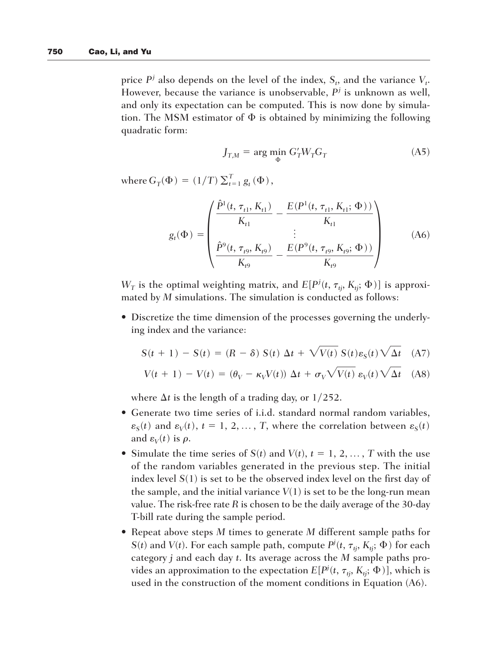price  $P^j$  also depends on the level of the index,  $S_i$ , and the variance  $V_i$ . However, because the variance is unobservable,  $P<sup>j</sup>$  is unknown as well, and only its expectation can be computed. This is now done by simulation. The MSM estimator of  $\Phi$  is obtained by minimizing the following quadratic form:

$$
J_{T,M} = \arg\min_{\Phi} G'_T W_T G_T \tag{A5}
$$

where  $G_T(\Phi) = (1/T) \sum_{t=1}^T g_t(\Phi)$ ,

$$
g_{t}(\Phi) = \begin{pmatrix} \frac{\hat{P}^{1}(t, \tau_{t1}, K_{t1})}{K_{t1}} - \frac{E(P^{1}(t, \tau_{t1}, K_{t1}; \Phi))}{K_{t1}} \\ \vdots \\ \frac{\hat{P}^{9}(t, \tau_{t9}, K_{t9})}{K_{t9}} - \frac{E(P^{9}(t, \tau_{t9}, K_{t9}; \Phi))}{K_{t9}} \end{pmatrix}
$$
 (A6)

 $W_T$  is the optimal weighting matrix, and  $E[P^j(t, \tau_{ij}, K_{tj}; \Phi)]$  is approximated by *M* simulations. The simulation is conducted as follows:

• Discretize the time dimension of the processes governing the underlying index and the variance:

$$
S(t + 1) - S(t) = (R - \delta) S(t) \Delta t + \sqrt{V(t)} S(t) \varepsilon_{S}(t) \sqrt{\Delta t} \quad (A7)
$$

$$
V(t + 1) - V(t) = (\theta_V - \kappa_V V(t)) \Delta t + \sigma_V \sqrt{V(t)} \varepsilon_V(t) \sqrt{\Delta t} \quad (A8)
$$

where  $\Delta t$  is the length of a trading day, or  $1/252.$ 

- Generate two time series of i.i.d. standard normal random variables,  $\varepsilon_{S}(t)$  and  $\varepsilon_{V}(t)$ ,  $t = 1, 2, ..., T$ , where the correlation between  $\varepsilon_{S}(t)$ and  $\varepsilon_V^{\vphantom{\dagger}}(t)$  is  $\rho$ .
- Simulate the time series of *S*(*t*) and *V*(*t*),  $t = 1, 2, ..., T$  with the use of the random variables generated in the previous step. The initial index level *S*(1) is set to be the observed index level on the first day of the sample, and the initial variance  $V(1)$  is set to be the long-run mean value. The risk-free rate *R* is chosen to be the daily average of the 30-day T-bill rate during the sample period.
- Repeat above steps *M* times to generate *M* different sample paths for  $S(t)$  and  $V(t)$ . For each sample path, compute  $P^j(t, \tau_{tj}, K_{tj}; \Phi)$  for each category *j* and each day *t*. Its average across the *M* sample paths provides an approximation to the expectation  $E[P^j(t, \tau_{tj}, K_{tj}; \Phi)]$ , which is used in the construction of the moment conditions in Equation (A6).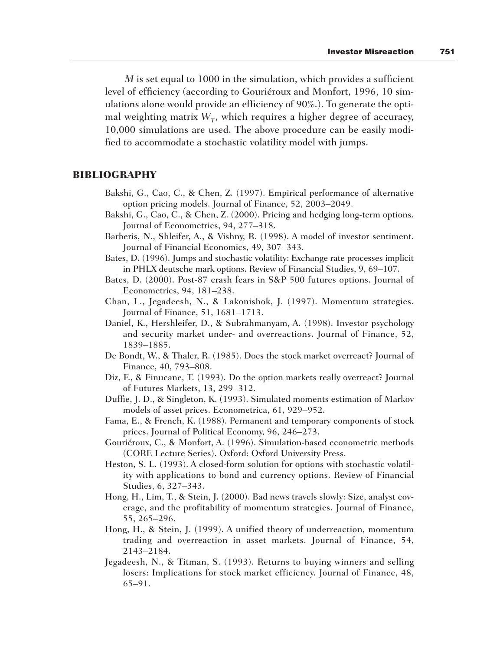*M* is set equal to 1000 in the simulation, which provides a sufficient level of efficiency (according to Gouriéroux and Monfort, 1996, 10 simulations alone would provide an efficiency of 90%.). To generate the optimal weighting matrix  $W_T$ , which requires a higher degree of accuracy, 10,000 simulations are used. The above procedure can be easily modified to accommodate a stochastic volatility model with jumps.

#### **BIBLIOGRAPHY**

- Bakshi, G., Cao, C., & Chen, Z. (1997). Empirical performance of alternative option pricing models. Journal of Finance, 52, 2003–2049.
- Bakshi, G., Cao, C., & Chen, Z. (2000). Pricing and hedging long-term options. Journal of Econometrics, 94, 277–318.
- Barberis, N., Shleifer, A., & Vishny, R. (1998). A model of investor sentiment. Journal of Financial Economics, 49, 307–343.
- Bates, D. (1996). Jumps and stochastic volatility: Exchange rate processes implicit in PHLX deutsche mark options. Review of Financial Studies, 9, 69–107.
- Bates, D. (2000). Post-87 crash fears in S&P 500 futures options. Journal of Econometrics, 94, 181–238.
- Chan, L., Jegadeesh, N., & Lakonishok, J. (1997). Momentum strategies. Journal of Finance, 51, 1681–1713.
- Daniel, K., Hershleifer, D., & Subrahmanyam, A. (1998). Investor psychology and security market under- and overreactions. Journal of Finance, 52, 1839–1885.
- De Bondt, W., & Thaler, R. (1985). Does the stock market overreact? Journal of Finance, 40, 793–808.
- Diz, F., & Finucane, T. (1993). Do the option markets really overreact? Journal of Futures Markets, 13, 299–312.
- Duffie, J. D., & Singleton, K. (1993). Simulated moments estimation of Markov models of asset prices. Econometrica, 61, 929–952.
- Fama, E., & French, K. (1988). Permanent and temporary components of stock prices. Journal of Political Economy, 96, 246–273.
- Gouriéroux, C., & Monfort, A. (1996). Simulation-based econometric methods (CORE Lecture Series). Oxford: Oxford University Press.
- Heston, S. L. (1993). A closed-form solution for options with stochastic volatility with applications to bond and currency options. Review of Financial Studies, 6, 327–343.
- Hong, H., Lim, T., & Stein, J. (2000). Bad news travels slowly: Size, analyst coverage, and the profitability of momentum strategies. Journal of Finance, 55, 265–296.
- Hong, H., & Stein, J. (1999). A unified theory of underreaction, momentum trading and overreaction in asset markets. Journal of Finance, 54, 2143–2184.
- Jegadeesh, N., & Titman, S. (1993). Returns to buying winners and selling losers: Implications for stock market efficiency. Journal of Finance, 48, 65–91.